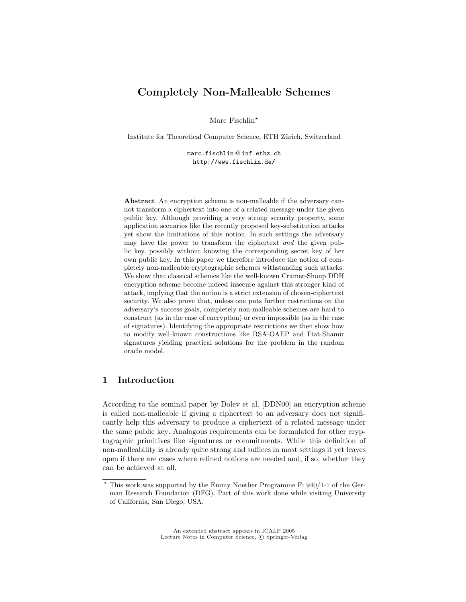# Completely Non-Malleable Schemes

Marc Fischlin\*

Institute for Theoretical Computer Science, ETH Zürich, Switzerland

marc.fischlin @ inf.ethz.ch http://www.fischlin.de/

Abstract An encryption scheme is non-malleable if the adversary cannot transform a ciphertext into one of a related message under the given public key. Although providing a very strong security property, some application scenarios like the recently proposed key-substitution attacks yet show the limitations of this notion. In such settings the adversary may have the power to transform the ciphertext and the given public key, possibly without knowing the corresponding secret key of her own public key. In this paper we therefore introduce the notion of completely non-malleable cryptographic schemes withstanding such attacks. We show that classical schemes like the well-known Cramer-Shoup DDH encryption scheme become indeed insecure against this stronger kind of attack, implying that the notion is a strict extension of chosen-ciphertext security. We also prove that, unless one puts further restrictions on the adversary's success goals, completely non-malleable schemes are hard to construct (as in the case of encryption) or even impossible (as in the case of signatures). Identifying the appropriate restrictions we then show how to modify well-known constructions like RSA-OAEP and Fiat-Shamir signatures yielding practical solutions for the problem in the random oracle model.

# 1 Introduction

According to the seminal paper by Dolev et al. [DDN00] an encryption scheme is called non-malleable if giving a ciphertext to an adversary does not significantly help this adversary to produce a ciphertext of a related message under the same public key. Analogous requirements can be formulated for other cryptographic primitives like signatures or commitments. While this definition of non-malleability is already quite strong and suffices in most settings it yet leaves open if there are cases where refined notions are needed and, if so, whether they can be achieved at all.

An extended abstract appears in ICALP 2005 Lecture Notes in Computer Science,  $\odot$  Springer-Verlag

<sup>?</sup> This work was supported by the Emmy Noether Programme Fi 940/1-1 of the German Research Foundation (DFG). Part of this work done while visiting University of California, San Diego, USA.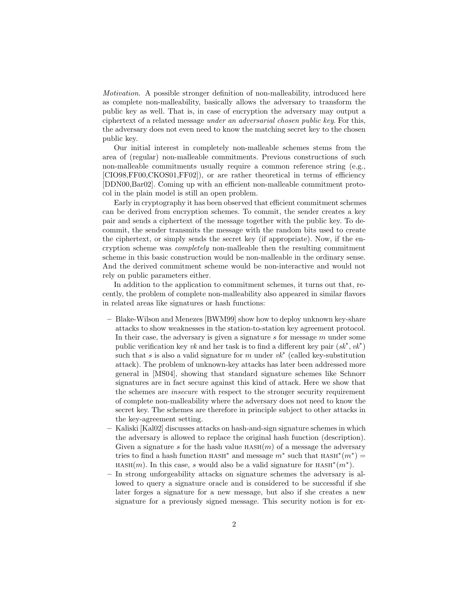Motivation. A possible stronger definition of non-malleability, introduced here as complete non-malleability, basically allows the adversary to transform the public key as well. That is, in case of encryption the adversary may output a ciphertext of a related message under an adversarial chosen public key. For this, the adversary does not even need to know the matching secret key to the chosen public key.

Our initial interest in completely non-malleable schemes stems from the area of (regular) non-malleable commitments. Previous constructions of such non-malleable commitments usually require a common reference string (e.g., [CIO98,FF00,CKOS01,FF02]), or are rather theoretical in terms of efficiency [DDN00,Bar02]. Coming up with an efficient non-malleable commitment protocol in the plain model is still an open problem.

Early in cryptography it has been observed that efficient commitment schemes can be derived from encryption schemes. To commit, the sender creates a key pair and sends a ciphertext of the message together with the public key. To decommit, the sender transmits the message with the random bits used to create the ciphertext, or simply sends the secret key (if appropriate). Now, if the encryption scheme was completely non-malleable then the resulting commitment scheme in this basic construction would be non-malleable in the ordinary sense. And the derived commitment scheme would be non-interactive and would not rely on public parameters either.

In addition to the application to commitment schemes, it turns out that, recently, the problem of complete non-malleability also appeared in similar flavors in related areas like signatures or hash functions:

- Blake-Wilson and Menezes [BWM99] show how to deploy unknown key-share attacks to show weaknesses in the station-to-station key agreement protocol. In their case, the adversary is given a signature  $s$  for message  $m$  under some public verification key vk and her task is to find a different key pair  $(s k^*, v k^*)$ such that s is also a valid signature for m under  $vk^*$  (called key-substitution attack). The problem of unknown-key attacks has later been addressed more general in [MS04], showing that standard signature schemes like Schnorr signatures are in fact secure against this kind of attack. Here we show that the schemes are insecure with respect to the stronger security requirement of complete non-malleability where the adversary does not need to know the secret key. The schemes are therefore in principle subject to other attacks in the key-agreement setting.
- Kaliski [Kal02] discusses attacks on hash-and-sign signature schemes in which the adversary is allowed to replace the original hash function (description). Given a signature s for the hash value  $HASH(m)$  of a message the adversary tries to find a hash function  $HASH^*$  and message  $m^*$  such that  $HASH^*(m^*) =$ HASH $(m)$ . In this case, s would also be a valid signature for HASH<sup>\*</sup> $(m^*)$ .
- In strong unforgeability attacks on signature schemes the adversary is allowed to query a signature oracle and is considered to be successful if she later forges a signature for a new message, but also if she creates a new signature for a previously signed message. This security notion is for ex-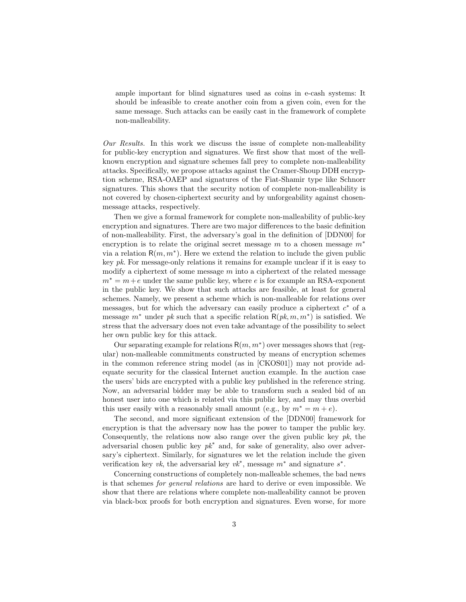ample important for blind signatures used as coins in e-cash systems: It should be infeasible to create another coin from a given coin, even for the same message. Such attacks can be easily cast in the framework of complete non-malleability.

Our Results. In this work we discuss the issue of complete non-malleability for public-key encryption and signatures. We first show that most of the wellknown encryption and signature schemes fall prey to complete non-malleability attacks. Specifically, we propose attacks against the Cramer-Shoup DDH encryption scheme, RSA-OAEP and signatures of the Fiat-Shamir type like Schnorr signatures. This shows that the security notion of complete non-malleability is not covered by chosen-ciphertext security and by unforgeability against chosenmessage attacks, respectively.

Then we give a formal framework for complete non-malleability of public-key encryption and signatures. There are two major differences to the basic definition of non-malleability. First, the adversary's goal in the definition of [DDN00] for encryption is to relate the original secret message  $m$  to a chosen message  $m^*$ via a relation  $R(m, m^*)$ . Here we extend the relation to include the given public key pk. For message-only relations it remains for example unclear if it is easy to modify a ciphertext of some message  $m$  into a ciphertext of the related message  $m^* = m + e$  under the same public key, where e is for example an RSA-exponent in the public key. We show that such attacks are feasible, at least for general schemes. Namely, we present a scheme which is non-malleable for relations over messages, but for which the adversary can easily produce a ciphertext  $c^*$  of a message  $m^*$  under pk such that a specific relation  $R(pk, m, m^*)$  is satisfied. We stress that the adversary does not even take advantage of the possibility to select her own public key for this attack.

Our separating example for relations  $R(m, m^*)$  over messages shows that (regular) non-malleable commitments constructed by means of encryption schemes in the common reference string model (as in [CKOS01]) may not provide adequate security for the classical Internet auction example. In the auction case the users' bids are encrypted with a public key published in the reference string. Now, an adversarial bidder may be able to transform such a sealed bid of an honest user into one which is related via this public key, and may thus overbid this user easily with a reasonably small amount (e.g., by  $m^* = m + e$ ).

The second, and more significant extension of the [DDN00] framework for encryption is that the adversary now has the power to tamper the public key. Consequently, the relations now also range over the given public key  $pk$ , the adversarial chosen public key  $pk^*$  and, for sake of generality, also over adversary's ciphertext. Similarly, for signatures we let the relation include the given verification key vk, the adversarial key vk<sup>\*</sup>, message  $m^*$  and signature  $s^*$ .

Concerning constructions of completely non-malleable schemes, the bad news is that schemes for general relations are hard to derive or even impossible. We show that there are relations where complete non-malleability cannot be proven via black-box proofs for both encryption and signatures. Even worse, for more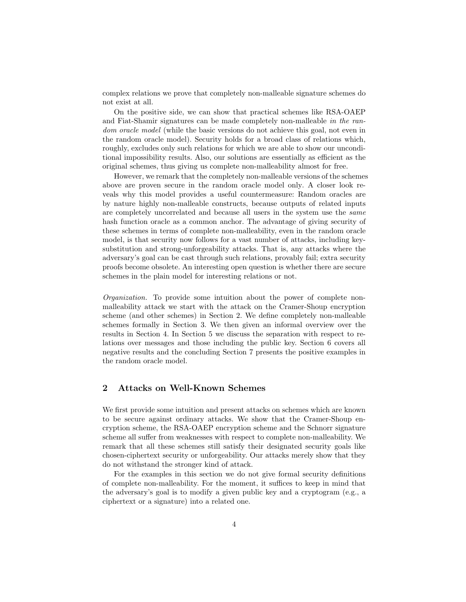complex relations we prove that completely non-malleable signature schemes do not exist at all.

On the positive side, we can show that practical schemes like RSA-OAEP and Fiat-Shamir signatures can be made completely non-malleable in the random oracle model (while the basic versions do not achieve this goal, not even in the random oracle model). Security holds for a broad class of relations which, roughly, excludes only such relations for which we are able to show our unconditional impossibility results. Also, our solutions are essentially as efficient as the original schemes, thus giving us complete non-malleability almost for free.

However, we remark that the completely non-malleable versions of the schemes above are proven secure in the random oracle model only. A closer look reveals why this model provides a useful countermeasure: Random oracles are by nature highly non-malleable constructs, because outputs of related inputs are completely uncorrelated and because all users in the system use the same hash function oracle as a common anchor. The advantage of giving security of these schemes in terms of complete non-malleability, even in the random oracle model, is that security now follows for a vast number of attacks, including keysubstitution and strong-unforgeability attacks. That is, any attacks where the adversary's goal can be cast through such relations, provably fail; extra security proofs become obsolete. An interesting open question is whether there are secure schemes in the plain model for interesting relations or not.

Organization. To provide some intuition about the power of complete nonmalleability attack we start with the attack on the Cramer-Shoup encryption scheme (and other schemes) in Section 2. We define completely non-malleable schemes formally in Section 3. We then given an informal overview over the results in Section 4. In Section 5 we discuss the separation with respect to relations over messages and those including the public key. Section 6 covers all negative results and the concluding Section 7 presents the positive examples in the random oracle model.

# 2 Attacks on Well-Known Schemes

We first provide some intuition and present attacks on schemes which are known to be secure against ordinary attacks. We show that the Cramer-Shoup encryption scheme, the RSA-OAEP encryption scheme and the Schnorr signature scheme all suffer from weaknesses with respect to complete non-malleability. We remark that all these schemes still satisfy their designated security goals like chosen-ciphertext security or unforgeability. Our attacks merely show that they do not withstand the stronger kind of attack.

For the examples in this section we do not give formal security definitions of complete non-malleability. For the moment, it suffices to keep in mind that the adversary's goal is to modify a given public key and a cryptogram (e.g., a ciphertext or a signature) into a related one.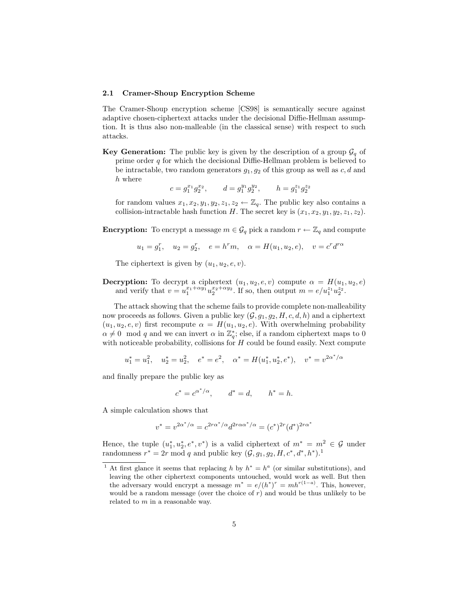#### 2.1 Cramer-Shoup Encryption Scheme

The Cramer-Shoup encryption scheme [CS98] is semantically secure against adaptive chosen-ciphertext attacks under the decisional Diffie-Hellman assumption. It is thus also non-malleable (in the classical sense) with respect to such attacks.

**Key Generation:** The public key is given by the description of a group  $\mathcal{G}_q$  of prime order  $q$  for which the decisional Diffie-Hellman problem is believed to be intractable, two random generators  $g_1, g_2$  of this group as well as c, d and h where

$$
c = g_1^{x_1} g_2^{x_2}, \qquad d = g_1^{y_1} g_2^{y_2}, \qquad h = g_1^{z_1} g_2^{z_2}
$$

for random values  $x_1, x_2, y_1, y_2, z_1, z_2 \leftarrow \mathbb{Z}_q$ . The public key also contains a collision-intractable hash function H. The secret key is  $(x_1, x_2, y_1, y_2, z_1, z_2)$ .

**Encryption:** To encrypt a message  $m \in \mathcal{G}_q$  pick a random  $r \leftarrow \mathbb{Z}_q$  and compute

$$
u_1 = g_1^r
$$
,  $u_2 = g_2^r$ ,  $e = h^r m$ ,  $\alpha = H(u_1, u_2, e)$ ,  $v = c^r d^{r\alpha}$ 

The ciphertext is given by  $(u_1, u_2, e, v)$ .

**Decryption:** To decrypt a ciphertext  $(u_1, u_2, e, v)$  compute  $\alpha = H(u_1, u_2, e)$ and verify that  $v = u_1^{x_1 + \alpha y_1} u_2^{x_2 + \alpha y_2}$ . If so, then output  $m = e/u_1^{z_1} u_2^{z_2}$ .

The attack showing that the scheme fails to provide complete non-malleability now proceeds as follows. Given a public key  $(\mathcal{G}, g_1, g_2, H, c, d, h)$  and a ciphertext  $(u_1, u_2, e, v)$  first recompute  $\alpha = H(u_1, u_2, e)$ . With overwhelming probability  $\alpha \neq 0 \mod q$  and we can invert  $\alpha$  in  $\mathbb{Z}_q^*$ ; else, if a random ciphertext maps to 0 with noticeable probability, collisions for  $H$  could be found easily. Next compute

$$
u_1^*=u_1^2,\quad u_2^*=u_2^2,\quad e^*=e^2,\quad \alpha^*=H(u_1^*,u_2^*,e^*),\quad v^*=v^{2\alpha^*/\alpha}
$$

and finally prepare the public key as

$$
c^* = c^{\alpha^*/\alpha}, \qquad d^* = d, \qquad h^* = h.
$$

A simple calculation shows that

$$
v^* = v^{2\alpha^*/\alpha} = c^{2r\alpha^*/\alpha} d^{2r\alpha\alpha^*/\alpha} = (c^*)^{2r} (d^*)^{2r\alpha^*}
$$

Hence, the tuple  $(u_1^*, u_2^*, e^*, v^*)$  is a valid ciphertext of  $m^* = m^2 \in \mathcal{G}$  under randomness  $r^* = 2r \mod q$  and public key  $(\mathcal{G}, g_1, g_2, H, c^*, d^*, h^*)$ .<sup>1</sup>

<sup>&</sup>lt;sup>1</sup> At first glance it seems that replacing h by  $h^* = h^a$  (or similar substitutions), and leaving the other ciphertext components untouched, would work as well. But then the adversary would encrypt a message  $m^* = e/(h^*)^r = mh^{r(1-a)}$ . This, however, would be a random message (over the choice of  $r$ ) and would be thus unlikely to be related to m in a reasonable way.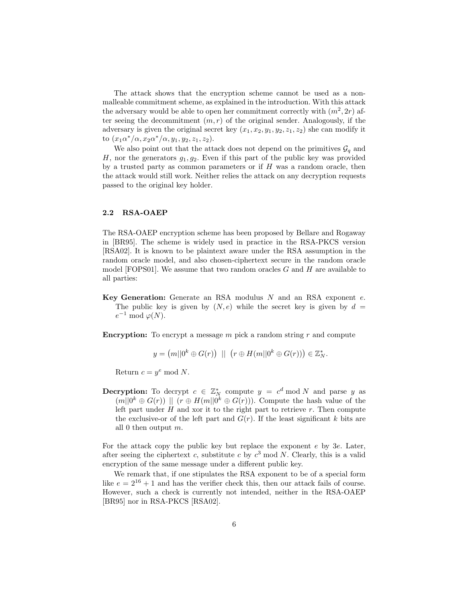The attack shows that the encryption scheme cannot be used as a nonmalleable commitment scheme, as explained in the introduction. With this attack the adversary would be able to open her commitment correctly with  $(m^2, 2r)$  after seeing the decommitment  $(m, r)$  of the original sender. Analogously, if the adversary is given the original secret key  $(x_1, x_2, y_1, y_2, z_1, z_2)$  she can modify it to  $(x_1\alpha^*/\alpha, x_2\alpha^*/\alpha, y_1, y_2, z_1, z_2).$ 

We also point out that the attack does not depend on the primitives  $\mathcal{G}_q$  and H, nor the generators  $g_1, g_2$ . Even if this part of the public key was provided by a trusted party as common parameters or if  $H$  was a random oracle, then the attack would still work. Neither relies the attack on any decryption requests passed to the original key holder.

#### 2.2 RSA-OAEP

The RSA-OAEP encryption scheme has been proposed by Bellare and Rogaway in [BR95]. The scheme is widely used in practice in the RSA-PKCS version [RSA02]. It is known to be plaintext aware under the RSA assumption in the random oracle model, and also chosen-ciphertext secure in the random oracle model [FOPS01]. We assume that two random oracles  $G$  and  $H$  are available to all parties:

Key Generation: Generate an RSA modulus  $N$  and an RSA exponent  $e$ . The public key is given by  $(N, e)$  while the secret key is given by  $d =$  $e^{-1} \bmod \varphi(N)$ .

**Encryption:** To encrypt a message  $m$  pick a random string  $r$  and compute

$$
y = (m||0^k \oplus G(r)) || (r \oplus H(m||0^k \oplus G(r))) \in \mathbb{Z}_N^*.
$$

Return  $c = y^e \mod N$ .

**Decryption:** To decrypt  $c \in \mathbb{Z}_N^*$  compute  $y = c^d \mod N$  and parse y as  $(m||0^k \oplus G(r))$  ||  $(r \oplus H(m||0^k \oplus G(r)))$ . Compute the hash value of the left part under  $H$  and xor it to the right part to retrieve  $r$ . Then compute the exclusive-or of the left part and  $G(r)$ . If the least significant k bits are all 0 then output m.

For the attack copy the public key but replace the exponent  $e$  by  $3e$ . Later, after seeing the ciphertext c, substitute c by  $c^3$  mod N. Clearly, this is a valid encryption of the same message under a different public key.

We remark that, if one stipulates the RSA exponent to be of a special form like  $e = 2^{16} + 1$  and has the verifier check this, then our attack fails of course. However, such a check is currently not intended, neither in the RSA-OAEP [BR95] nor in RSA-PKCS [RSA02].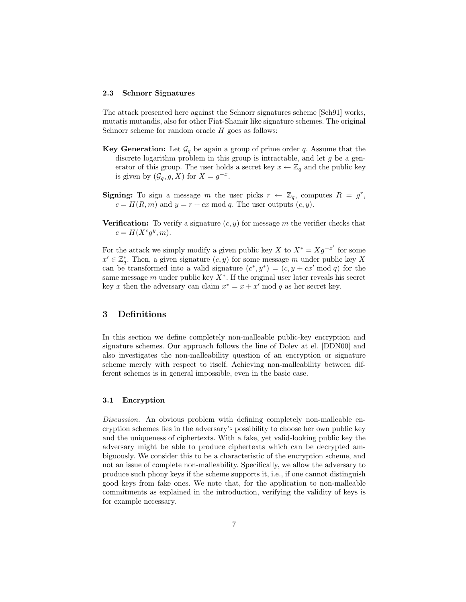#### 2.3 Schnorr Signatures

The attack presented here against the Schnorr signatures scheme [Sch91] works, mutatis mutandis, also for other Fiat-Shamir like signature schemes. The original Schnorr scheme for random oracle  $H$  goes as follows:

- **Key Generation:** Let  $\mathcal{G}_q$  be again a group of prime order q. Assume that the discrete logarithm problem in this group is intractable, and let  $g$  be a generator of this group. The user holds a secret key  $x \leftarrow \mathbb{Z}_q$  and the public key is given by  $(\mathcal{G}_q, g, X)$  for  $X = g^{-x}$ .
- **Signing:** To sign a message m the user picks  $r \leftarrow \mathbb{Z}_q$ , computes  $R = g^r$ ,  $c = H(R, m)$  and  $y = r + cx \mod q$ . The user outputs  $(c, y)$ .
- **Verification:** To verify a signature  $(c, y)$  for message m the verifier checks that  $c = H(X^c g^y, m).$

For the attack we simply modify a given public key X to  $X^* = Xg^{-x'}$  for some  $x' \in \mathbb{Z}_q^*$ . Then, a given signature  $(c, y)$  for some message m under public key X can be transformed into a valid signature  $(c^*, y^*) = (c, y + cx' \mod q)$  for the same message  $m$  under public key  $X^*$ . If the original user later reveals his secret key x then the adversary can claim  $x^* = x + x'$  mod q as her secret key.

# 3 Definitions

In this section we define completely non-malleable public-key encryption and signature schemes. Our approach follows the line of Dolev at el. [DDN00] and also investigates the non-malleability question of an encryption or signature scheme merely with respect to itself. Achieving non-malleability between different schemes is in general impossible, even in the basic case.

#### 3.1 Encryption

Discussion. An obvious problem with defining completely non-malleable encryption schemes lies in the adversary's possibility to choose her own public key and the uniqueness of ciphertexts. With a fake, yet valid-looking public key the adversary might be able to produce ciphertexts which can be decrypted ambiguously. We consider this to be a characteristic of the encryption scheme, and not an issue of complete non-malleability. Specifically, we allow the adversary to produce such phony keys if the scheme supports it, i.e., if one cannot distinguish good keys from fake ones. We note that, for the application to non-malleable commitments as explained in the introduction, verifying the validity of keys is for example necessary.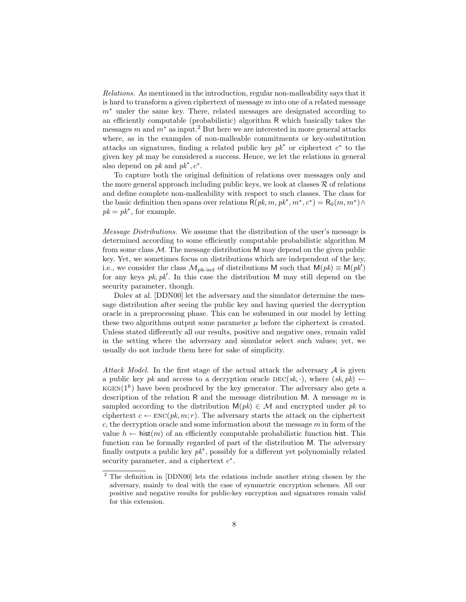Relations. As mentioned in the introduction, regular non-malleability says that it is hard to transform a given ciphertext of message  $m$  into one of a related message m<sup>∗</sup> under the same key. There, related messages are designated according to an efficiently computable (probabilistic) algorithm R which basically takes the messages m and  $m^*$  as input.<sup>2</sup> But here we are interested in more general attacks where, as in the examples of non-malleable commitments or key-substitution attacks on signatures, finding a related public key  $pk^*$  or ciphertext  $c^*$  to the given key  $pk$  may be considered a success. Hence, we let the relations in general also depend on  $pk$  and  $pk^*, c^*$ .

To capture both the original definition of relations over messages only and the more general approach including public keys, we look at classes  $\mathcal R$  of relations and define complete non-malleability with respect to such classes. The class for the basic definition then spans over relations  $R(pk, m, pk^*, m^*, c^*) = R_0(m, m^*) \wedge$  $pk = pk^*$ , for example.

Message Distributions. We assume that the distribution of the user's message is determined according to some efficiently computable probabilistic algorithm M from some class  $M$ . The message distribution M may depend on the given public key. Yet, we sometimes focus on distributions which are independent of the key, i.e., we consider the class  $\mathcal{M}_{\text{pk-ind}}$  of distributions M such that  $M(pk) \equiv M(pk)$ for any keys  $pk, pk'$ . In this case the distribution M may still depend on the security parameter, though.

Dolev at al. [DDN00] let the adversary and the simulator determine the message distribution after seeing the public key and having queried the decryption oracle in a preprocessing phase. This can be subsumed in our model by letting these two algorithms output some parameter  $\mu$  before the ciphertext is created. Unless stated differently all our results, positive and negative ones, remain valid in the setting where the adversary and simulator select such values; yet, we usually do not include them here for sake of simplicity.

Attack Model. In the first stage of the actual attack the adversary  $A$  is given a public key pk and access to a decryption oracle  $DEC(sk, \cdot),$  where  $(sk, pk) \leftarrow$  $KGEN(1<sup>k</sup>)$  have been produced by the key generator. The adversary also gets a description of the relation R and the message distribution M. A message  $m$  is sampled according to the distribution  $M(pk) \in \mathcal{M}$  and encrypted under pk to ciphertext  $c \leftarrow \text{ENC}(pk, m; r)$ . The adversary starts the attack on the ciphertext c, the decryption oracle and some information about the message  $m$  in form of the value  $h \leftarrow$  hist $(m)$  of an efficiently computable probabilistic function hist. This function can be formally regarded of part of the distribution M. The adversary finally outputs a public key  $pk^*$ , possibly for a different yet polynomially related security parameter, and a ciphertext  $c^*$ .

<sup>&</sup>lt;sup>2</sup> The definition in [DDN00] lets the relations include another string chosen by the adversary, mainly to deal with the case of symmetric encryption schemes. All our positive and negative results for public-key encryption and signatures remain valid for this extension.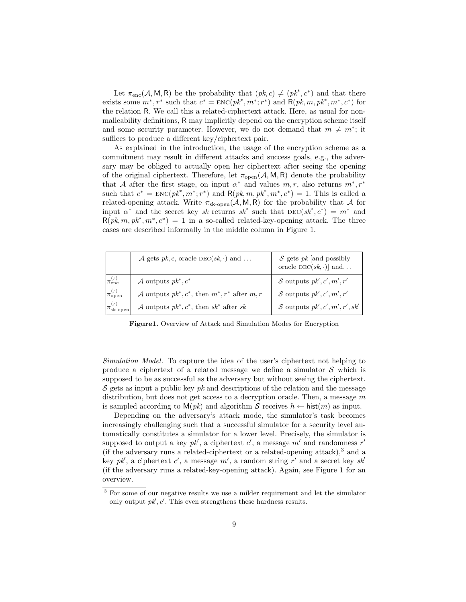Let  $\pi_{\text{enc}}(\mathcal{A}, \mathsf{M}, \mathsf{R})$  be the probability that  $(pk, c) \neq (pk^*, c^*)$  and that there exists some  $m^*, r^*$  such that  $c^* = \text{ENC}(pk^*, m^*; r^*)$  and  $R(pk, m, pk^*, m^*, c^*)$  for the relation R. We call this a related-ciphertext attack. Here, as usual for nonmalleability definitions, R may implicitly depend on the encryption scheme itself and some security parameter. However, we do not demand that  $m \neq m^*$ ; it suffices to produce a different key/ciphertext pair.

As explained in the introduction, the usage of the encryption scheme as a commitment may result in different attacks and success goals, e.g., the adversary may be obliged to actually open her ciphertext after seeing the opening of the original ciphertext. Therefore, let  $\pi_{open}(\mathcal{A}, \mathsf{M}, \mathsf{R})$  denote the probability that A after the first stage, on input  $\alpha^*$  and values  $m, r$ , also returns  $m^*, r^*$ such that  $c^* = \text{ENC}(pk^*, m^*; r^*)$  and  $R(pk, m, pk^*, m^*, c^*) = 1$ . This is called a related-opening attack. Write  $\pi_{sk\text{-open}}(\mathcal{A}, \mathsf{M}, \mathsf{R})$  for the probability that  $\mathcal A$  for input  $\alpha^*$  and the secret key sk returns sk<sup>\*</sup> such that  $DEC(sk^*, c^*) = m^*$  and  $R(pk, m, pk^*, m^*, c^*) = 1$  in a so-called related-key-opening attack. The three cases are described informally in the middle column in Figure 1.

|                                               | A gets $pk$ , c, oracle DEC( $sk$ , ·) and           | $S$ gets pk [and possibly<br>oracle $DEC(sk, \cdot)$ and |
|-----------------------------------------------|------------------------------------------------------|----------------------------------------------------------|
| $\eta_{\text{enc}}^{(\prime)}$                | A outputs $pk^*, c^*$                                | S outputs $pk', c', m', r'$                              |
| $\left  \pi_{\text{open}}^{(\prime)} \right $ | A outputs $pk^*, c^*$ , then $m^*, r^*$ after $m, r$ | S outputs $pk', c', m', r'$                              |
| $(\prime)$<br>$\pi_{\rm sk-open}$             | A outputs $pk^*, c^*$ , then $sk^*$ after $sk$       | S outputs $pk', c', m', r', sk'$                         |

Figure1. Overview of Attack and Simulation Modes for Encryption

Simulation Model. To capture the idea of the user's ciphertext not helping to produce a ciphertext of a related message we define a simulator  $S$  which is supposed to be as successful as the adversary but without seeing the ciphertext.  $S$  gets as input a public key pk and descriptions of the relation and the message distribution, but does not get access to a decryption oracle. Then, a message  $m$ is sampled according to  $M(pk)$  and algorithm S receives  $h \leftarrow \text{hist}(m)$  as input.

Depending on the adversary's attack mode, the simulator's task becomes increasingly challenging such that a successful simulator for a security level automatically constitutes a simulator for a lower level. Precisely, the simulator is supposed to output a key  $pk'$ , a ciphertext c', a message m' and randomness r' (if the adversary runs a related-ciphertext or a related-opening attack), $3$  and a key  $pk'$ , a ciphertext c', a message m', a random string r' and a secret key sk' (if the adversary runs a related-key-opening attack). Again, see Figure 1 for an overview.

<sup>&</sup>lt;sup>3</sup> For some of our negative results we use a milder requirement and let the simulator only output  $pk', c'$ . This even strengthens these hardness results.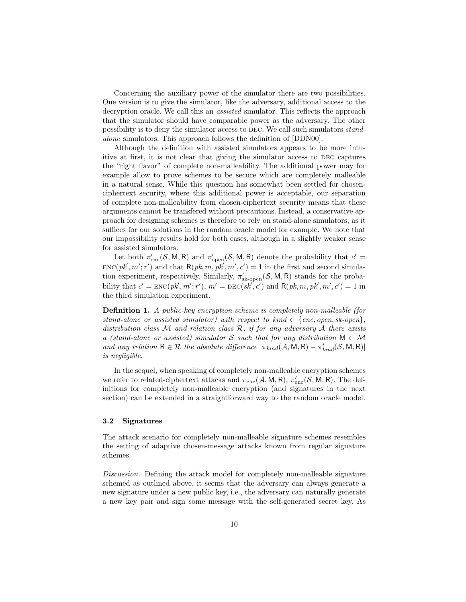Concerning the auxiliary power of the simulator there are two possibilities. One version is to give the simulator, like the adversary, additional access to the decryption oracle. We call this an *assisted* simulator. This reflects the approach that the simulator should have comparable power as the adversary. The other possibility is to deny the simulator access to DEC. We call such simulators standalone simulators. This approach follows the definition of [DDN00].

Although the definition with assisted simulators appears to be more intuitive at first, it is not clear that giving the simulator access to DEC captures the "right flavor" of complete non-malleability. The additional power may for example allow to prove schemes to be secure which are completely malleable in a natural sense. While this question has somewhat been settled for chosenciphertext security, where this additional power is acceptable, our separation of complete non-malleability from chosen-ciphertext security means that these arguments cannot be transfered without precautions. Instead, a conservative approach for designing schemes is therefore to rely on stand-alone simulators, as it suffices for our solutions in the random oracle model for example. We note that our impossibility results hold for both cases, although in a slightly weaker sense for assisted simulators.

Let both  $\pi'_{enc}(\mathcal{S}, \mathsf{M}, \mathsf{R})$  and  $\pi'_{open}(\mathcal{S}, \mathsf{M}, \mathsf{R})$  denote the probability that  $c' =$  $\text{ENC}(pk', m'; r')$  and that  $R(pk, m, pk', m', c') = 1$  in the first and second simulation experiment, respectively. Similarly,  $\pi'_{\text{sk-open}}(\mathcal{S}, \mathsf{M}, \mathsf{R})$  stands for the probability that  $c' = \text{ENC}(pk', m'; r')$ ,  $m' = \text{DEC}(sk', c')$  and  $R(pk, m, pk', m', c') = 1$  in the third simulation experiment.

Definition 1. A public-key encryption scheme is completely non-malleable (for stand-alone or assisted simulator) with respect to kind  $\in \{enc, open, sk-open\},\$ distribution class  $\mathcal M$  and relation class  $\mathcal R$ , if for any adversary  $\mathcal A$  there exists a (stand-alone or assisted) simulator S such that for any distribution  $M \in \mathcal{M}$ and any relation  $R \in \mathcal{R}$  the absolute difference  $|\pi_{kind}(\mathcal{A}, \mathsf{M}, \mathsf{R}) - \pi'_{kind}(\mathcal{S}, \mathsf{M}, \mathsf{R})|$ is negligible.

In the sequel, when speaking of completely non-malleable encryption schemes we refer to related-ciphertext attacks and  $\pi_{\text{enc}}(\mathcal{A}, \mathsf{M}, \mathsf{R})$ ,  $\pi'_{\text{enc}}(\mathcal{S}, \mathsf{M}, \mathsf{R})$ . The definitions for completely non-malleable encryption (and signatures in the next section) can be extended in a straightforward way to the random oracle model.

#### 3.2 Signatures

The attack scenario for completely non-malleable signature schemes resembles the setting of adaptive chosen-message attacks known from regular signature schemes.

Discussion. Defining the attack model for completely non-malleable signature schemed as outlined above, it seems that the adversary can always generate a new signature under a new public key, i.e., the adversary can naturally generate a new key pair and sign some message with the self-generated secret key. As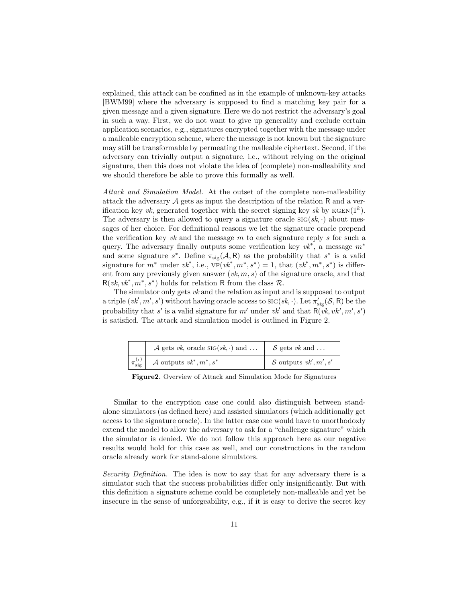explained, this attack can be confined as in the example of unknown-key attacks [BWM99] where the adversary is supposed to find a matching key pair for a given message and a given signature. Here we do not restrict the adversary's goal in such a way. First, we do not want to give up generality and exclude certain application scenarios, e.g., signatures encrypted together with the message under a malleable encryption scheme, where the message is not known but the signature may still be transformable by permeating the malleable ciphertext. Second, if the adversary can trivially output a signature, i.e., without relying on the original signature, then this does not violate the idea of (complete) non-malleability and we should therefore be able to prove this formally as well.

Attack and Simulation Model. At the outset of the complete non-malleability attack the adversary  $A$  gets as input the description of the relation  $R$  and a verification key vk, generated together with the secret signing key sk by KGEN( $1^k$ ). The adversary is then allowed to query a signature oracle  $\text{sig}(sk, \cdot)$  about messages of her choice. For definitional reasons we let the signature oracle prepend the verification key  $vk$  and the message  $m$  to each signature reply  $s$  for such a query. The adversary finally outputs some verification key  $vk^*$ , a message  $m^*$ and some signature  $s^*$ . Define  $\pi_{sig}(\mathcal{A}, \mathsf{R})$  as the probability that  $s^*$  is a valid signature for  $m^*$  under  $vk^*$ , i.e.,  $\overline{VP}(vk^*, m^*, s^*) = 1$ , that  $(vk^*, m^*, s^*)$  is different from any previously given answer  $(vk, m, s)$  of the signature oracle, and that  $R(vk, v k^*, m^*, s^*)$  holds for relation R from the class R.

The simulator only gets vk and the relation as input and is supposed to output a triple  $(vk', m', s')$  without having oracle access to  $\text{sig}(sk, \cdot)$ . Let  $\pi'_{\text{sig}}(\mathcal{S}, \mathsf{R})$  be the probability that s' is a valid signature for m' under  $vk'$  and that  $R(vk, vk',m',s')$ is satisfied. The attack and simulation model is outlined in Figure 2.

|                               | A gets $vk$ , oracle $\text{SIG}(sk, \cdot)$ and $\ldots$   S gets $vk$ and $\ldots$ |                         |
|-------------------------------|--------------------------------------------------------------------------------------|-------------------------|
| $\pi_{\text{sig}}^{(\prime)}$ | A outputs $vk^*, m^*, s^*$                                                           | S outputs $vk', m', s'$ |

Figure2. Overview of Attack and Simulation Mode for Signatures

Similar to the encryption case one could also distinguish between standalone simulators (as defined here) and assisted simulators (which additionally get access to the signature oracle). In the latter case one would have to unorthodoxly extend the model to allow the adversary to ask for a "challenge signature" which the simulator is denied. We do not follow this approach here as our negative results would hold for this case as well, and our constructions in the random oracle already work for stand-alone simulators.

Security Definition. The idea is now to say that for any adversary there is a simulator such that the success probabilities differ only insignificantly. But with this definition a signature scheme could be completely non-malleable and yet be insecure in the sense of unforgeability, e.g., if it is easy to derive the secret key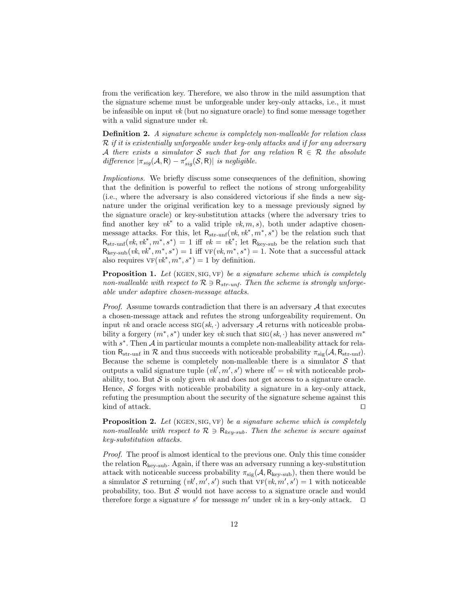from the verification key. Therefore, we also throw in the mild assumption that the signature scheme must be unforgeable under key-only attacks, i.e., it must be infeasible on input vk (but no signature oracle) to find some message together with a valid signature under *vk*.

Definition 2. A signature scheme is completely non-malleable for relation class  $\mathcal R$  if it is existentially unforgeable under key-only attacks and if for any adversary A there exists a simulator S such that for any relation  $R \in \mathcal{R}$  the absolute difference  $|\pi_{sig}(\mathcal{A}, \mathsf{R}) - \pi'_{sig}(\mathcal{S}, \mathsf{R})|$  is negligible.

Implications. We briefly discuss some consequences of the definition, showing that the definition is powerful to reflect the notions of strong unforgeability (i.e., where the adversary is also considered victorious if she finds a new signature under the original verification key to a message previously signed by the signature oracle) or key-substitution attacks (where the adversary tries to find another key  $vk^*$  to a valid triple  $vk, m, s$ , both under adaptive chosenmessage attacks. For this, let  $R_{str-unf}(vk, vk^*, m^*, s^*)$  be the relation such that  $R_{str-unf}(vk, vk^*,m^*,s^*) = 1$  iff  $vk = vk^*$ ; let  $R_{key-sub}$  be the relation such that  $\mathsf{R}_{\text{key-sub}}(vk, vk^*,m^*,s^*) = 1$  iff  $\text{VF}(vk,m^*,s^*) = 1$ . Note that a successful attack also requires  $VF(vk^*, m^*, s^*) = 1$  by definition.

**Proposition 1.** Let (KGEN, SIG, VF) be a signature scheme which is completely non-malleable with respect to  $\mathcal{R} \ni \mathsf{R}_{str-unf}$ . Then the scheme is strongly unforgeable under adaptive chosen-message attacks.

*Proof.* Assume towards contradiction that there is an adversary  $A$  that executes a chosen-message attack and refutes the strong unforgeability requirement. On input vk and oracle access  $\text{sig}(sk, \cdot)$  adversary A returns with noticeable probability a forgery  $(m^*, s^*)$  under key vk such that  $\text{sig}(sk, \cdot)$  has never answered  $m^*$ with  $s^*$ . Then  $A$  in particular mounts a complete non-malleability attack for relation  $R_{str-unf}$  in  $\mathcal R$  and thus succeeds with noticeable probability  $\pi_{\text{sig}}(\mathcal A, R_{str-unf})$ . Because the scheme is completely non-malleable there is a simulator  $S$  that outputs a valid signature tuple  $(vk', m', s')$  where  $vk' = vk$  with noticeable probability, too. But  $S$  is only given vk and does not get access to a signature oracle. Hence,  $S$  forges with noticeable probability a signature in a key-only attack, refuting the presumption about the security of the signature scheme against this kind of attack.  $\Box$ 

**Proposition 2.** Let  $(KGEN, SIG, VF)$  be a signature scheme which is completely non-malleable with respect to  $\mathcal{R} \ni \mathsf{R}_{key-sub}$ . Then the scheme is secure against key-substitution attacks.

Proof. The proof is almost identical to the previous one. Only this time consider the relation  $R_{key-sub}$ . Again, if there was an adversary running a key-substitution attack with noticeable success probability  $\pi_{sig}(\mathcal{A}, R_{key-sub})$ , then there would be a simulator S returning  $(vk', m', s')$  such that  $\nu F(vk, m', s') = 1$  with noticeable probability, too. But  $\mathcal S$  would not have access to a signature oracle and would therefore forge a signature s' for message m' under vk in a key-only attack.  $\square$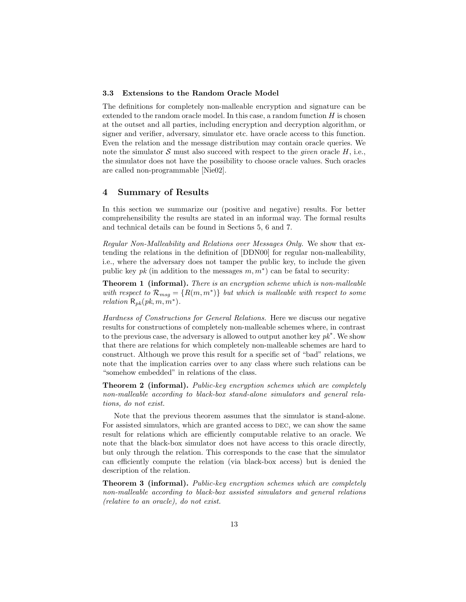#### 3.3 Extensions to the Random Oracle Model

The definitions for completely non-malleable encryption and signature can be extended to the random oracle model. In this case, a random function  $H$  is chosen at the outset and all parties, including encryption and decryption algorithm, or signer and verifier, adversary, simulator etc. have oracle access to this function. Even the relation and the message distribution may contain oracle queries. We note the simulator S must also succeed with respect to the *given* oracle  $H$ , i.e., the simulator does not have the possibility to choose oracle values. Such oracles are called non-programmable [Nie02].

# 4 Summary of Results

In this section we summarize our (positive and negative) results. For better comprehensibility the results are stated in an informal way. The formal results and technical details can be found in Sections 5, 6 and 7.

Regular Non-Malleability and Relations over Messages Only. We show that extending the relations in the definition of [DDN00] for regular non-malleability, i.e., where the adversary does not tamper the public key, to include the given public key pk (in addition to the messages  $m, m^*$ ) can be fatal to security:

Theorem 1 (informal). There is an encryption scheme which is non-malleable with respect to  $\mathcal{R}_{msg} = \{R(m, m^*)\}$  but which is malleable with respect to some relation  $\mathsf{R}_{pk}(pk, m, m^*)$ .

Hardness of Constructions for General Relations. Here we discuss our negative results for constructions of completely non-malleable schemes where, in contrast to the previous case, the adversary is allowed to output another key  $pk^*$ . We show that there are relations for which completely non-malleable schemes are hard to construct. Although we prove this result for a specific set of "bad" relations, we note that the implication carries over to any class where such relations can be "somehow embedded" in relations of the class.

Theorem 2 (informal). Public-key encryption schemes which are completely non-malleable according to black-box stand-alone simulators and general relations, do not exist.

Note that the previous theorem assumes that the simulator is stand-alone. For assisted simulators, which are granted access to DEC, we can show the same result for relations which are efficiently computable relative to an oracle. We note that the black-box simulator does not have access to this oracle directly, but only through the relation. This corresponds to the case that the simulator can efficiently compute the relation (via black-box access) but is denied the description of the relation.

Theorem 3 (informal). Public-key encryption schemes which are completely non-malleable according to black-box assisted simulators and general relations (relative to an oracle), do not exist.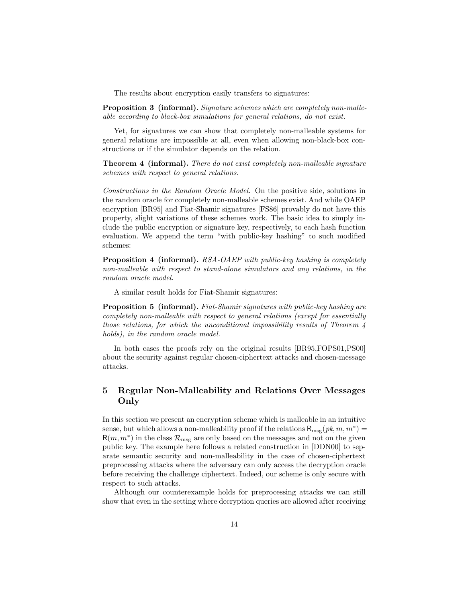The results about encryption easily transfers to signatures:

Proposition 3 (informal). Signature schemes which are completely non-malleable according to black-box simulations for general relations, do not exist.

Yet, for signatures we can show that completely non-malleable systems for general relations are impossible at all, even when allowing non-black-box constructions or if the simulator depends on the relation.

Theorem 4 (informal). There do not exist completely non-malleable signature schemes with respect to general relations.

Constructions in the Random Oracle Model. On the positive side, solutions in the random oracle for completely non-malleable schemes exist. And while OAEP encryption [BR95] and Fiat-Shamir signatures [FS86] provably do not have this property, slight variations of these schemes work. The basic idea to simply include the public encryption or signature key, respectively, to each hash function evaluation. We append the term "with public-key hashing" to such modified schemes:

Proposition 4 (informal). RSA-OAEP with public-key hashing is completely non-malleable with respect to stand-alone simulators and any relations, in the random oracle model.

A similar result holds for Fiat-Shamir signatures:

Proposition 5 (informal). Fiat-Shamir signatures with public-key hashing are completely non-malleable with respect to general relations (except for essentially those relations, for which the unconditional impossibility results of Theorem  $\lambda$ holds), in the random oracle model.

In both cases the proofs rely on the original results [BR95,FOPS01,PS00] about the security against regular chosen-ciphertext attacks and chosen-message attacks.

# 5 Regular Non-Malleability and Relations Over Messages Only

In this section we present an encryption scheme which is malleable in an intuitive sense, but which allows a non-malleability proof if the relations  $R_{\text{msg}}(pk, m, m^*)$  =  $R(m, m^*)$  in the class  $\mathcal{R}_{\text{msg}}$  are only based on the messages and not on the given public key. The example here follows a related construction in [DDN00] to separate semantic security and non-malleability in the case of chosen-ciphertext preprocessing attacks where the adversary can only access the decryption oracle before receiving the challenge ciphertext. Indeed, our scheme is only secure with respect to such attacks.

Although our counterexample holds for preprocessing attacks we can still show that even in the setting where decryption queries are allowed after receiving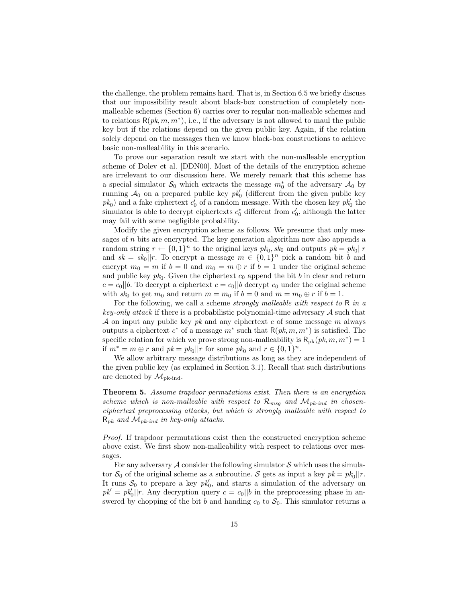the challenge, the problem remains hard. That is, in Section 6.5 we briefly discuss that our impossibility result about black-box construction of completely nonmalleable schemes (Section 6) carries over to regular non-malleable schemes and to relations  $R(pk, m, m^*)$ , i.e., if the adversary is not allowed to maul the public key but if the relations depend on the given public key. Again, if the relation solely depend on the messages then we know black-box constructions to achieve basic non-malleability in this scenario.

To prove our separation result we start with the non-malleable encryption scheme of Dolev et al. [DDN00]. Most of the details of the encryption scheme are irrelevant to our discussion here. We merely remark that this scheme has a special simulator  $S_0$  which extracts the message  $m_0^*$  of the adversary  $\mathcal{A}_0$  by running  $\mathcal{A}_0$  on a prepared public key  $pk'_0$  (different from the given public key  $pk_0$ ) and a fake ciphertext  $c_0'$  of a random message. With the chosen key  $pk_0'$  the simulator is able to decrypt ciphertexts  $c_0^*$  different from  $c_0'$ , although the latter may fail with some negligible probability.

Modify the given encryption scheme as follows. We presume that only messages of  $n$  bits are encrypted. The key generation algorithm now also appends a random string  $r \leftarrow \{0, 1\}^n$  to the original keys  $pk_0, sk_0$  and outputs  $pk = pk_0||r$ and  $sk = sk_0||r$ . To encrypt a message  $m \in \{0, 1\}^n$  pick a random bit b and encrypt  $m_0 = m$  if  $b = 0$  and  $m_0 = m \oplus r$  if  $b = 1$  under the original scheme and public key  $pk_0$ . Given the ciphertext  $c_0$  append the bit b in clear and return  $c = c_0 || b$ . To decrypt a ciphertext  $c = c_0 || b$  decrypt  $c_0$  under the original scheme with  $sk_0$  to get  $m_0$  and return  $m = m_0$  if  $b = 0$  and  $m = m_0 \oplus r$  if  $b = 1$ .

For the following, we call a scheme strongly malleable with respect to R in a key-only attack if there is a probabilistic polynomial-time adversary  $A$  such that A on input any public key  $pk$  and any ciphertext c of some message m always outputs a ciphertext  $c^*$  of a message  $m^*$  such that  $R(pk, m, m^*)$  is satisfied. The specific relation for which we prove strong non-malleability is  $R_{pk}(pk, m, m^*) = 1$ if  $m^* = m \oplus r$  and  $pk = pk_0 || r$  for some  $pk_0$  and  $r \in \{0, 1\}^n$ .

We allow arbitrary message distributions as long as they are independent of the given public key (as explained in Section 3.1). Recall that such distributions are denoted by  $\mathcal{M}_{\rm pk-ind.}$ 

Theorem 5. Assume trapdoor permutations exist. Then there is an encryption scheme which is non-malleable with respect to  $\mathcal{R}_{msg}$  and  $\mathcal{M}_{pk-ind}$  in chosenciphertext preprocessing attacks, but which is strongly malleable with respect to  $\mathsf{R}_{pk}$  and  $\mathcal{M}_{pk-ind}$  in key-only attacks.

Proof. If trapdoor permutations exist then the constructed encryption scheme above exist. We first show non-malleability with respect to relations over messages.

For any adversary  $\mathcal A$  consider the following simulator  $\mathcal S$  which uses the simulator  $S_0$  of the original scheme as a subroutine. S gets as input a key  $pk = pk_0||r$ . It runs  $S_0$  to prepare a key  $pk'_0$ , and starts a simulation of the adversary on  $pk' = pk'_0 || r$ . Any decryption query  $c = c_0 || b$  in the preprocessing phase in answered by chopping of the bit b and handing  $c_0$  to  $S_0$ . This simulator returns a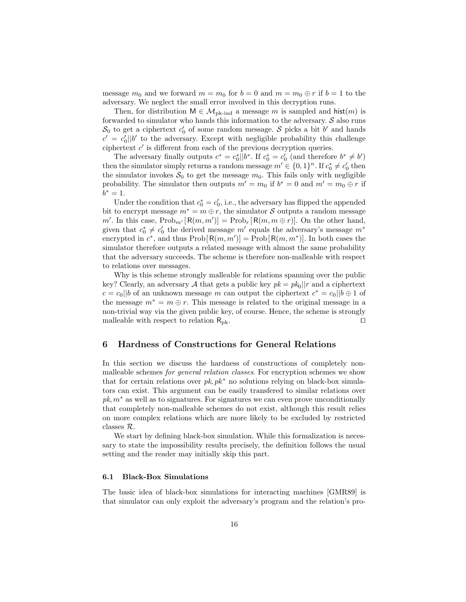message  $m_0$  and we forward  $m = m_0$  for  $b = 0$  and  $m = m_0 \oplus r$  if  $b = 1$  to the adversary. We neglect the small error involved in this decryption runs.

Then, for distribution  $M \in \mathcal{M}_{pk-ind}$  a message m is sampled and hist $(m)$  is forwarded to simulator who hands this information to the adversary.  $S$  also runs  $\mathcal{S}_0$  to get a ciphertext  $c'_0$  of some random message. S picks a bit b' and hands  $c' = c'_0 || b'$  to the adversary. Except with negligible probability this challenge ciphertext  $c'$  is different from each of the previous decryption queries.

The adversary finally outputs  $c^* = c_0^* ||b^*$ . If  $c_0^* = c_0'$  (and therefore  $b^* \neq b'$ ) then the simulator simply returns a random message  $m' \in \{0, 1\}^n$ . If  $c_0^* \neq c'_0$  then the simulator invokes  $S_0$  to get the message  $m_0$ . This fails only with negligible probability. The simulator then outputs  $m' = m_0$  if  $b^* = 0$  and  $m' = m_0 \oplus r$  if  $b^* = 1.$ 

Under the condition that  $c_0^* = c_0'$ , i.e., the adversary has flipped the appended bit to encrypt message  $m^* = m \oplus r$ , the simulator S outputs a random message m'. In this case,  $\text{Prob}_{m'}[\mathsf{R}(m, m')] = \text{Prob}_r[\mathsf{R}(m, m \oplus r)]$ . On the other hand, given that  $c_0^* \neq c_0'$  the derived message  $m'$  equals the adversary's message  $m^*$ encrypted in  $c^*$ , and thus  $Prob[R(m, m')] = Prob[R(m, m^*)]$ . In both cases the simulator therefore outputs a related message with almost the same probability that the adversary succeeds. The scheme is therefore non-malleable with respect to relations over messages.

Why is this scheme strongly malleable for relations spanning over the public key? Clearly, an adversary  $A$  that gets a public key  $pk = pk<sub>0</sub> ||r$  and a ciphertext  $c = c_0 || b$  of an unknown message m can output the ciphertext  $c^* = c_0 || b \oplus 1$  of the message  $m^* = m \oplus r$ . This message is related to the original message in a non-trivial way via the given public key, of course. Hence, the scheme is strongly malleable with respect to relation  $R_{pk}$ .

# 6 Hardness of Constructions for General Relations

In this section we discuss the hardness of constructions of completely nonmalleable schemes for general relation classes. For encryption schemes we show that for certain relations over  $pk$ ,  $pk^*$  no solutions relying on black-box simulators can exist. This argument can be easily transfered to similar relations over pk, m<sup>∗</sup> as well as to signatures. For signatures we can even prove unconditionally that completely non-malleable schemes do not exist, although this result relies on more complex relations which are more likely to be excluded by restricted classes R.

We start by defining black-box simulation. While this formalization is necessary to state the impossibility results precisely, the definition follows the usual setting and the reader may initially skip this part.

### 6.1 Black-Box Simulations

The basic idea of black-box simulations for interacting machines [GMR89] is that simulator can only exploit the adversary's program and the relation's pro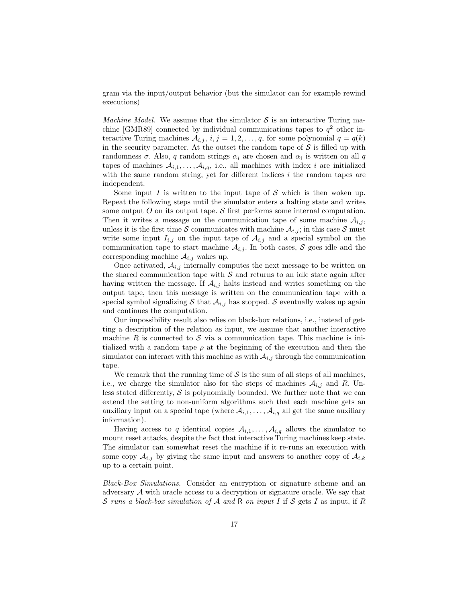gram via the input/output behavior (but the simulator can for example rewind executions)

*Machine Model.* We assume that the simulator  $S$  is an interactive Turing machine [GMR89] connected by individual communications tapes to  $q^2$  other interactive Turing machines  $A_{i,j}$ ,  $i, j = 1, 2, ..., q$ , for some polynomial  $q = q(k)$ in the security parameter. At the outset the random tape of  $S$  is filled up with randomness  $\sigma$ . Also, q random strings  $\alpha_i$  are chosen and  $\alpha_i$  is written on all q tapes of machines  $A_{i,1}, \ldots, A_{i,q}$ , i.e., all machines with index i are initialized with the same random string, yet for different indices  $i$  the random tapes are independent.

Some input I is written to the input tape of  $S$  which is then woken up. Repeat the following steps until the simulator enters a halting state and writes some output O on its output tape. S first performs some internal computation. Then it writes a message on the communication tape of some machine  $\mathcal{A}_{i,j}$ , unless it is the first time S communicates with machine  $A_{i,j}$ ; in this case S must write some input  $I_{i,j}$  on the input tape of  $A_{i,j}$  and a special symbol on the communication tape to start machine  $A_{i,j}$ . In both cases, S goes idle and the corresponding machine  $A_{i,j}$  wakes up.

Once activated,  $A_{i,j}$  internally computes the next message to be written on the shared communication tape with  $S$  and returns to an idle state again after having written the message. If  $A_{i,j}$  halts instead and writes something on the output tape, then this message is written on the communication tape with a special symbol signalizing S that  $A_{i,j}$  has stopped. S eventually wakes up again and continues the computation.

Our impossibility result also relies on black-box relations, i.e., instead of getting a description of the relation as input, we assume that another interactive machine R is connected to S via a communication tape. This machine is initialized with a random tape  $\rho$  at the beginning of the execution and then the simulator can interact with this machine as with  $A_{i,j}$  through the communication tape.

We remark that the running time of  $\mathcal S$  is the sum of all steps of all machines, i.e., we charge the simulator also for the steps of machines  $A_{i,j}$  and R. Unless stated differently,  $\mathcal S$  is polynomially bounded. We further note that we can extend the setting to non-uniform algorithms such that each machine gets an auxiliary input on a special tape (where  $A_{i,1}, \ldots, A_{i,q}$  all get the same auxiliary information).

Having access to q identical copies  $A_{i,1}, \ldots, A_{i,q}$  allows the simulator to mount reset attacks, despite the fact that interactive Turing machines keep state. The simulator can somewhat reset the machine if it re-runs an execution with some copy  $\mathcal{A}_{i,j}$  by giving the same input and answers to another copy of  $\mathcal{A}_{i,k}$ up to a certain point.

Black-Box Simulations. Consider an encryption or signature scheme and an adversary  $A$  with oracle access to a decryption or signature oracle. We say that S runs a black-box simulation of A and R on input I if S gets I as input, if R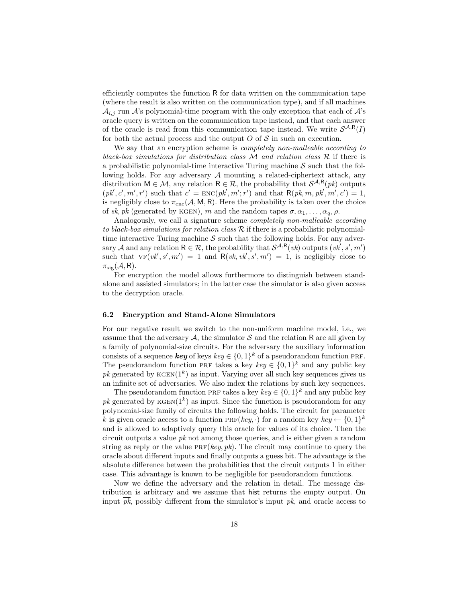efficiently computes the function R for data written on the communication tape (where the result is also written on the communication type), and if all machines  $\mathcal{A}_{i,j}$  run  $\mathcal{A}$ 's polynomial-time program with the only exception that each of  $\mathcal{A}$ 's oracle query is written on the communication tape instead, and that each answer of the oracle is read from this communication tape instead. We write  $S^{A,R}(I)$ for both the actual process and the output  $O$  of  $S$  in such an execution.

We say that an encryption scheme is *completely non-malleable according to* black-box simulations for distribution class M and relation class R if there is a probabilistic polynomial-time interactive Turing machine  $S$  such that the following holds. For any adversary  $A$  mounting a related-ciphertext attack, any distribution  $M \in \mathcal{M}$ , any relation  $R \in \mathcal{R}$ , the probability that  $\mathcal{S}^{\mathcal{A},R}(pk)$  outputs  $(pk', c', m', r')$  such that  $c' = \text{ENC}(pk', m'; r')$  and that  $R(pk, m, pk', m', c') = 1$ , is negligibly close to  $\pi_{enc}(\mathcal{A}, \mathsf{M}, \mathsf{R})$ . Here the probability is taken over the choice of sk, pk (generated by KGEN), m and the random tapes  $\sigma, \alpha_1, \ldots, \alpha_q, \rho$ .

Analogously, we call a signature scheme *completely non-malleable according* to black-box simulations for relation class  $R$  if there is a probabilistic polynomialtime interactive Turing machine  $\mathcal S$  such that the following holds. For any adversary A and any relation  $R \in \mathcal{R}$ , the probability that  $\mathcal{S}^{\mathcal{A},R}(vk)$  outputs  $(vk', s', m')$ such that  $VF(vk', s', m') = 1$  and  $R(vk, vk', s', m') = 1$ , is negligibly close to  $\pi_{\text{sig}}(\mathcal{A}, \mathsf{R}).$ 

For encryption the model allows furthermore to distinguish between standalone and assisted simulators; in the latter case the simulator is also given access to the decryption oracle.

#### 6.2 Encryption and Stand-Alone Simulators

For our negative result we switch to the non-uniform machine model, i.e., we assume that the adversary  $A$ , the simulator  $S$  and the relation R are all given by a family of polynomial-size circuits. For the adversary the auxiliary information consists of a sequence **key** of keys  $key \in \{0,1\}^k$  of a pseudorandom function PRF. The pseudorandom function PRF takes a key  $key \in \{0,1\}^k$  and any public key  $pk$  generated by  $KGEN(1<sup>k</sup>)$  as input. Varying over all such key sequences gives us an infinite set of adversaries. We also index the relations by such key sequences.

The pseudorandom function PRF takes a key  $key \in \{0, 1\}^k$  and any public key  $pk$  generated by KGEN( $1<sup>k</sup>$ ) as input. Since the function is pseudorandom for any polynomial-size family of circuits the following holds. The circuit for parameter k is given oracle access to a function  $PRF(key, \cdot)$  for a random key  $key \leftarrow \{0, 1\}^k$ and is allowed to adaptively query this oracle for values of its choice. Then the circuit outputs a value  $pk$  not among those queries, and is either given a random string as reply or the value  $PRF(key, pk)$ . The circuit may continue to query the oracle about different inputs and finally outputs a guess bit. The advantage is the absolute difference between the probabilities that the circuit outputs 1 in either case. This advantage is known to be negligible for pseudorandom functions.

Now we define the adversary and the relation in detail. The message distribution is arbitrary and we assume that hist returns the empty output. On input  $\overline{pk}$ , possibly different from the simulator's input pk, and oracle access to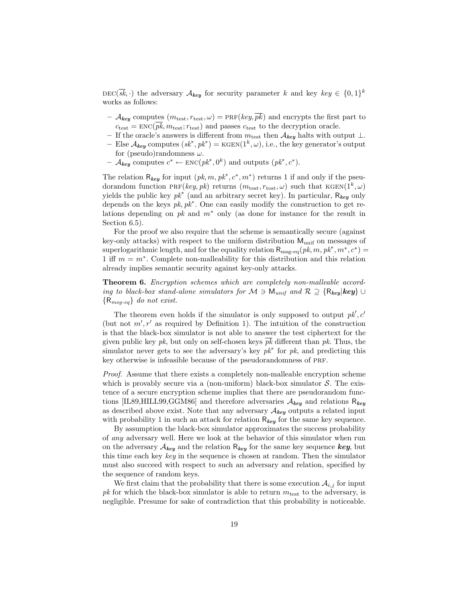DEC( $\overline{sk}$ ,  $\cdot$ ) the adversary  $\mathcal{A}_{key}$  for security parameter k and key  $key \in \{0,1\}^k$ works as follows:

- $-\mathcal{A}_{key}$  computes  $(m_{test}, r_{test}, \omega) = \text{PRF}(key, \overline{pk})$  and encrypts the first part to  $c_{\text{test}} = \text{ENC}(pk, m_{\text{test}}; r_{\text{test}})$  and passes  $c_{\text{test}}$  to the decryption oracle.
- If the oracle's answers is different from  $m_{\text{test}}$  then  $A_{\text{key}}$  halts with output  $\perp$ . - Else  $\mathcal{A}_{key}$  computes  $(sk^*, pk^*) = \text{KGEN}(1^k, \omega)$ , i.e., the key generator's output
- for (pseudo)randomness  $\omega$ .
- $\mathcal{A}_{key}$  computes  $c^* \leftarrow \text{ENC}(pk^*, 0^k)$  and outputs  $(pk^*, c^*)$ .

The relation  $\mathsf{R}_{key}$  for input  $(pk, m, pk^*, c^*, m^*)$  returns 1 if and only if the pseudorandom function  $\text{PRF}(key, pk)$  returns  $(m_{\text{test}}, r_{\text{test}}, \omega)$  such that  $\text{KGEN}(\tilde{1}^k, \omega)$ yields the public key  $pk^*$  (and an arbitrary secret key). In particular,  $R_{key}$  only depends on the keys  $pk, pk^*$ . One can easily modify the construction to get relations depending on  $pk$  and  $m^*$  only (as done for instance for the result in Section  $6.5$ ).

For the proof we also require that the scheme is semantically secure (against key-only attacks) with respect to the uniform distribution Munif on messages of superlogarithmic length, and for the equality relation  $R_{\text{msg-eq}}(pk, m, pk^*, m^*, c^*)$ 1 iff  $m = m^*$ . Complete non-malleability for this distribution and this relation already implies semantic security against key-only attacks.

Theorem 6. Encryption schemes which are completely non-malleable according to black-box stand-alone simulators for  $M \ni M_{unif}$  and  $\mathcal{R} \supseteq {\mathcal{R}_{key}|key} \cup$  ${R_{msg\text{-}eq}}$  do not exist.

The theorem even holds if the simulator is only supposed to output  $pk$ ,  $c'$ (but not  $m', r'$  as required by Definition 1). The intuition of the construction is that the black-box simulator is not able to answer the test ciphertext for the given public key pk, but only on self-chosen keys  $\overline{pk}$  different than pk. Thus, the simulator never gets to see the adversary's key  $pk^*$  for  $pk$ , and predicting this key otherwise is infeasible because of the pseudorandomness of PRF.

Proof. Assume that there exists a completely non-malleable encryption scheme which is provably secure via a (non-uniform) black-box simulator  $S$ . The existence of a secure encryption scheme implies that there are pseudorandom functions [IL89,HILL99,GGM86] and therefore adversaries  $A_{key}$  and relations  $R_{key}$ as described above exist. Note that any adversary  $A_{key}$  outputs a related input with probability 1 in such an attack for relation  $R_{key}$  for the same key sequence.

By assumption the black-box simulator approximates the success probability of any adversary well. Here we look at the behavior of this simulator when run on the adversary  $A_{key}$  and the relation  $R_{key}$  for the same key sequence key, but this time each key key in the sequence is chosen at random. Then the simulator must also succeed with respect to such an adversary and relation, specified by the sequence of random keys.

We first claim that the probability that there is some execution  $A_{i,j}$  for input pk for which the black-box simulator is able to return  $m_{\text{test}}$  to the adversary, is negligible. Presume for sake of contradiction that this probability is noticeable.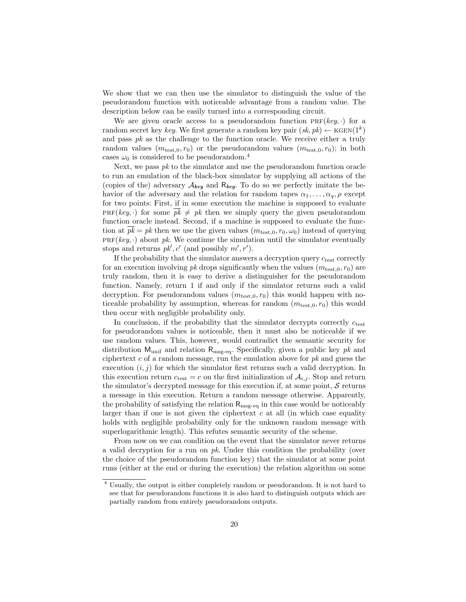We show that we can then use the simulator to distinguish the value of the pseudorandom function with noticeable advantage from a random value. The description below can be easily turned into a corresponding circuit.

We are given oracle access to a pseudorandom function  $PRF(key, \cdot)$  for a random secret key key. We first generate a random key pair  $(sk, pk) \leftarrow \text{KGEN}(1^k)$ and pass  $pk$  as the challenge to the function oracle. We receive either a truly random values  $(m_{test,0}, r_0)$  or the pseudorandom values  $(m_{test,0}, r_0)$ ; in both cases  $\omega_0$  is considered to be pseudorandom.<sup>4</sup>

Next, we pass  $pk$  to the simulator and use the pseudorandom function oracle to run an emulation of the black-box simulator by supplying all actions of the (copies of the) adversary  $\mathcal{A}_{key}$  and  $R_{key}$ . To do so we perfectly imitate the behavior of the adversary and the relation for random tapes  $\alpha_1, \ldots, \alpha_q, \rho$  except for two points: First, if in some execution the machine is supposed to evaluate  $PRF(key, \cdot)$  for some  $pk \neq pk$  then we simply query the given pseudorandom function oracle instead. Second, if a machine is supposed to evaluate the function at  $\overline{pk} = pk$  then we use the given values  $(m_{\text{test},0}, r_0, \omega_0)$  instead of querying  $PRF(key, \cdot)$  about pk. We continue the simulation until the simulator eventually stops and returns  $pk'$ , c' (and possibly  $m'$ , r').

If the probability that the simulator answers a decryption query  $c_{\text{test}}$  correctly for an execution involving pk drops significantly when the values  $(m_{test,0}, r_0)$  are truly random, then it is easy to derive a distinguisher for the pseudorandom function. Namely, return 1 if and only if the simulator returns such a valid decryption. For pseudorandom values  $(m_{test,0}, r_0)$  this would happen with noticeable probability by assumption, whereas for random  $(m_{test,0}, r_0)$  this would then occur with negligible probability only.

In conclusion, if the probability that the simulator decrypts correctly  $c_{\text{test}}$ for pseudorandom values is noticeable, then it must also be noticeable if we use random values. This, however, would contradict the semantic security for distribution  $M_{\text{unif}}$  and relation  $R_{\text{msg-eq}}$ . Specifically, given a public key pk and ciphertext  $c$  of a random message, run the emulation above for  $pk$  and guess the execution  $(i, j)$  for which the simulator first returns such a valid decryption. In this execution return  $c_{\text{test}} = c$  on the first initialization of  $\mathcal{A}_{i,j}$ . Stop and return the simulator's decrypted message for this execution if, at some point,  $\mathcal S$  returns a message in this execution. Return a random message otherwise. Apparently, the probability of satisfying the relation  $R_{\text{msg-eq}}$  in this case would be noticeably larger than if one is not given the ciphertext  $c$  at all (in which case equality holds with negligible probability only for the unknown random message with superlogarithmic length). This refutes semantic security of the scheme.

From now on we can condition on the event that the simulator never returns a valid decryption for a run on  $pk$ . Under this condition the probability (over the choice of the pseudorandom function key) that the simulator at some point runs (either at the end or during the execution) the relation algorithm on some

<sup>4</sup> Usually, the output is either completely random or pseudorandom. It is not hard to see that for pseudorandom functions it is also hard to distinguish outputs which are partially random from entirely pseudorandom outputs.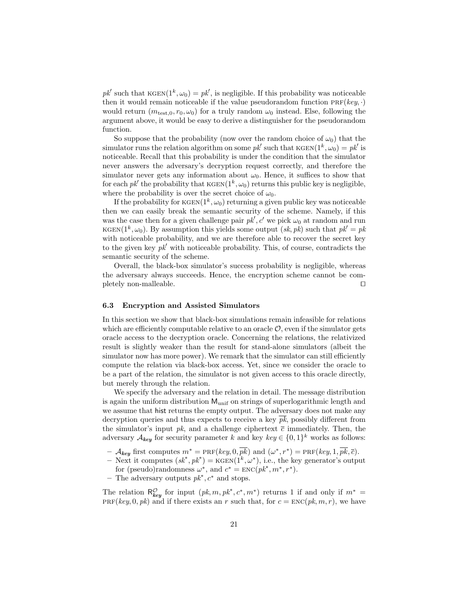$pk'$  such that KGEN( $1^k, \omega_0$ ) =  $pk'$ , is negligible. If this probability was noticeable then it would remain noticeable if the value pseudorandom function  $PRF(key, \cdot)$ would return  $(m_{\text{test},0}, r_0, \omega_0)$  for a truly random  $\omega_0$  instead. Else, following the argument above, it would be easy to derive a distinguisher for the pseudorandom function.

So suppose that the probability (now over the random choice of  $\omega_0$ ) that the simulator runs the relation algorithm on some  $pk'$  such that KGEN $(1^k, \omega_0) = pk'$  is noticeable. Recall that this probability is under the condition that the simulator never answers the adversary's decryption request correctly, and therefore the simulator never gets any information about  $\omega_0$ . Hence, it suffices to show that for each  $pk'$  the probability that  $KGEN(1^k, \omega_0)$  returns this public key is negligible, where the probability is over the secret choice of  $\omega_0$ .

If the probability for  $\textsc{kgen}(1^k, \omega_0)$  returning a given public key was noticeable then we can easily break the semantic security of the scheme. Namely, if this was the case then for a given challenge pair  $pk', c'$  we pick  $\omega_0$  at random and run KGEN $(1^k, \omega_0)$ . By assumption this yields some output  $(sk, pk)$  such that  $pk' = pk$ with noticeable probability, and we are therefore able to recover the secret key to the given key  $pk'$  with noticeable probability. This, of course, contradicts the semantic security of the scheme.

Overall, the black-box simulator's success probability is negligible, whereas the adversary always succeeds. Hence, the encryption scheme cannot be completely non-malleable.  $\Box$ 

### 6.3 Encryption and Assisted Simulators

In this section we show that black-box simulations remain infeasible for relations which are efficiently computable relative to an oracle  $\mathcal{O}$ , even if the simulator gets oracle access to the decryption oracle. Concerning the relations, the relativized result is slightly weaker than the result for stand-alone simulators (albeit the simulator now has more power). We remark that the simulator can still efficiently compute the relation via black-box access. Yet, since we consider the oracle to be a part of the relation, the simulator is not given access to this oracle directly, but merely through the relation.

We specify the adversary and the relation in detail. The message distribution is again the uniform distribution  $M_{\text{unif}}$  on strings of superlogarithmic length and we assume that hist returns the empty output. The adversary does not make any decryption queries and thus expects to receive a key  $\overline{pk}$ , possibly different from the simulator's input  $pk$ , and a challenge ciphertext  $\bar{c}$  immediately. Then, the adversary  $\mathcal{A}_{key}$  for security parameter k and key  $key \in \{0,1\}^k$  works as follows:

- $-\mathcal{A}_{key}$  first computes  $m^* = \text{PRF}(key, 0, \overline{pk})$  and  $(\omega^*, r^*) = \text{PRF}(key, 1, \overline{pk}, \overline{c})$ .
- $-$  Next it computes  $(s k^*, p k^*) = \text{KGEN}(1^k, \omega^*)$ , i.e., the key generator's output for (pseudo)randomness  $\omega^*$ , and  $c^* = \text{ENC}(pk^*, m^*, r^*)$ .
- The adversary outputs  $pk^*, c^*$  and stops.

The relation  $\mathsf{R}_{key}^{\mathcal{O}}$  for input  $(pk, m, pk^*, c^*, m^*)$  returns 1 if and only if  $m^* =$ PRF(key, 0, pk) and if there exists an r such that, for  $c = \text{ENC}(pk, m, r)$ , we have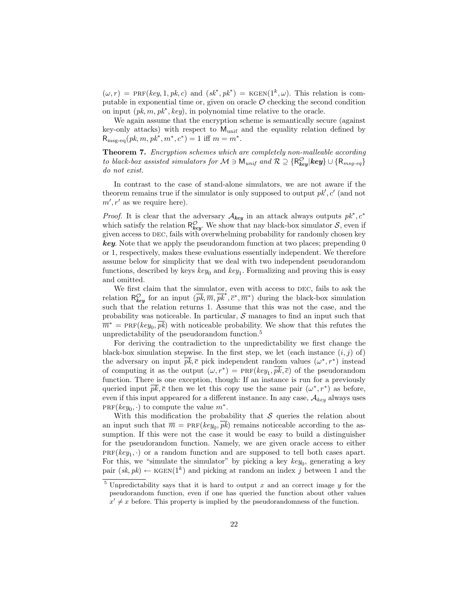$(\omega, r)$  = PRF(key, 1, pk, c) and  $(sk^*, p k^*)$  = KGEN(1<sup>k</sup>,  $\omega$ ). This relation is computable in exponential time or, given on oracle  $\mathcal O$  checking the second condition on input  $(pk, m, pk^*, key)$ , in polynomial time relative to the oracle.

We again assume that the encryption scheme is semantically secure (against key-only attacks) with respect to Munif and the equality relation defined by  $R_{\text{msg-eq}}(pk, m, pk^*, m^*, c^*) = 1$  iff  $m = m^*$ .

Theorem 7. Encryption schemes which are completely non-malleable according to black-box assisted simulators for  $\mathcal{M} \ni \mathsf{M}_{unif}$  and  $\mathcal{R} \supseteq {\mathsf{R}_{key}^{\mathcal{O}}}$   $\{ \mathsf{R}_{msg\text{-}eq}^{\mathcal{O}} \}$ do not exist.

In contrast to the case of stand-alone simulators, we are not aware if the theorem remains true if the simulator is only supposed to output  $pk', c'$  (and not  $m', r'$  as we require here).

*Proof.* It is clear that the adversary  $\mathcal{A}_{key}$  in an attack always outputs  $pk^*, c^*$ which satisfy the relation  $R^{\mathcal{O}}_{key}$ . We show that nay black-box simulator  $\mathcal{S}$ , even if given access to dec, fails with overwhelming probability for randomly chosen key key. Note that we apply the pseudorandom function at two places; prepending 0 or 1, respectively, makes these evaluations essentially independent. We therefore assume below for simplicity that we deal with two independent pseudorandom functions, described by keys  $key_0$  and  $key_1$ . Formalizing and proving this is easy and omitted.

We first claim that the simulator, even with access to DEC, fails to ask the relation  $\mathsf{R}_{key}^{\mathcal{O}}$  for an input  $(\overline{pk}, \overline{m}, \overline{pk}^*, \overline{c}^*, \overline{m}^*)$  during the black-box simulation such that the relation returns 1. Assume that this was not the case, and the probability was noticeable. In particular,  $S$  manages to find an input such that  $\overline{m}^*$  = PRF( $key_0$ ,  $\overline{pk}$ ) with noticeable probability. We show that this refutes the unpredictability of the pseudorandom function.<sup>5</sup>

For deriving the contradiction to the unpredictability we first change the black-box simulation stepwise. In the first step, we let (each instance  $(i, j)$  of) the adversary on input  $\overline{pk}, \overline{c}$  pick independent random values  $(\omega^*, r^*)$  instead of computing it as the output  $(\omega, r^*) = \text{PRF}(key_1, \overline{pk}, \overline{c})$  of the pseudorandom function. There is one exception, though: If an instance is run for a previously queried input  $\overline{pk}, \overline{c}$  then we let this copy use the same pair  $(\omega^*, r^*)$  as before, even if this input appeared for a different instance. In any case,  $A_{key}$  always uses PRF( $key_0$ , $\cdot$ ) to compute the value  $m^*$ .

With this modification the probability that  $S$  queries the relation about an input such that  $\overline{m} = \text{PRF}(key_0, \overline{pk})$  remains noticeable according to the assumption. If this were not the case it would be easy to build a distinguisher for the pseudorandom function. Namely, we are given oracle access to either  $PRF(key_1, \cdot)$  or a random function and are supposed to tell both cases apart. For this, we "simulate the simulator" by picking a key  $key_0$ , generating a key pair  $(s\&, pk) \leftarrow \text{KGEN}(1^k)$  and picking at random an index j between 1 and the

 $5$  Unpredictability says that it is hard to output x and an correct image y for the pseudorandom function, even if one has queried the function about other values  $x' \neq x$  before. This property is implied by the pseudorandomness of the function.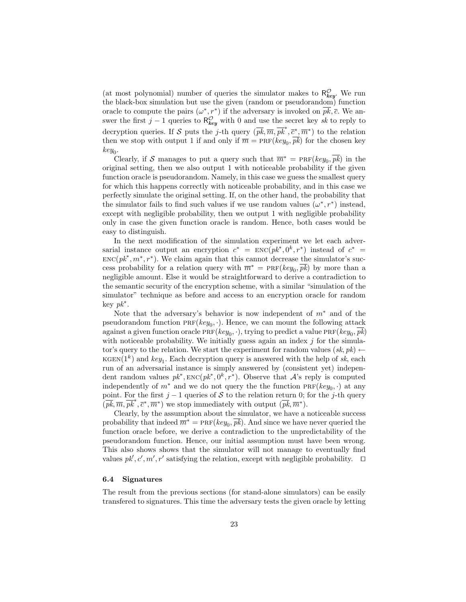(at most polynomial) number of queries the simulator makes to  $\mathsf{R}_{key}^{\mathcal{O}}$ . We run the black-box simulation but use the given (random or pseudorandom) function oracle to compute the pairs  $(\omega^*, r^*)$  if the adversary is invoked on  $\overline{pk}, \overline{c}$ . We answer the first  $j-1$  queries to  $\mathsf{R}_{key}^{\mathcal{O}}$  with 0 and use the secret key sk to reply to decryption queries. If S puts the j-th query  $(\overline{pk}, \overline{m}, \overline{pk}^*, \overline{c}^*, \overline{m}^*)$  to the relation then we stop with output 1 if and only if  $\overline{m} = \text{PRF}(key_0, \overline{pk})$  for the chosen key  $key_0$ .

Clearly, if S manages to put a query such that  $\overline{m}^* = \text{PRF}(key_0, \overline{pk})$  in the original setting, then we also output 1 with noticeable probability if the given function oracle is pseudorandom. Namely, in this case we guess the smallest query for which this happens correctly with noticeable probability, and in this case we perfectly simulate the original setting. If, on the other hand, the probability that the simulator fails to find such values if we use random values  $(\omega^*, r^*)$  instead, except with negligible probability, then we output 1 with negligible probability only in case the given function oracle is random. Hence, both cases would be easy to distinguish.

In the next modification of the simulation experiment we let each adversarial instance output an encryption  $c^*$  =  $ENC(pk^*, 0^k, r^*)$  instead of  $c^*$  =  $\text{ENC}(pk^*, m^*, r^*)$ . We claim again that this cannot decrease the simulator's success probability for a relation query with  $\overline{m}^* = \text{PRF}(key_0, \overline{pk})$  by more than a negligible amount. Else it would be straightforward to derive a contradiction to the semantic security of the encryption scheme, with a similar "simulation of the simulator" technique as before and access to an encryption oracle for random key  $pk^*$ .

Note that the adversary's behavior is now independent of  $m^*$  and of the pseudorandom function  $\text{PRF}(key_0, \cdot)$ . Hence, we can mount the following attack against a given function oracle  $\text{PRF}(key_0, \cdot),$  trying to predict a value  $\text{PRF}(key_0, \overline{pk})$ with noticeable probability. We initially guess again an index  $j$  for the simulator's query to the relation. We start the experiment for random values  $(sk, pk) \leftarrow$  $KGEN(1<sup>k</sup>)$  and  $key_1$ . Each decryption query is answered with the help of sk, each run of an adversarial instance is simply answered by (consistent yet) independent random values  $pk^*$ ,  $ENC(pk^*, 0^k, r^*)$ . Observe that A's reply is computed independently of  $m^*$  and we do not query the the function  $PRF(key_0, \cdot)$  at any point. For the first  $j-1$  queries of S to the relation return 0; for the j-th query  $(\overline{pk}, \overline{m}, \overline{pk}^*, \overline{c}^*, \overline{m}^*)$  we stop immediately with output  $(\overline{pk}, \overline{m}^*)$ .

Clearly, by the assumption about the simulator, we have a noticeable success probability that indeed  $\overline{m}^* = \text{PRF}(key_0, \overline{pk})$ . And since we have never queried the function oracle before, we derive a contradiction to the unpredictability of the pseudorandom function. Hence, our initial assumption must have been wrong. This also shows shows that the simulator will not manage to eventually find values  $pk', c', m', r'$  satisfying the relation, except with negligible probability.  $\Box$ 

#### 6.4 Signatures

The result from the previous sections (for stand-alone simulators) can be easily transfered to signatures. This time the adversary tests the given oracle by letting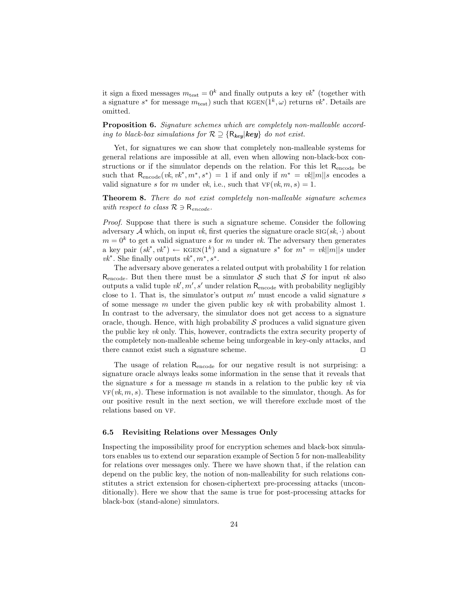it sign a fixed messages  $m_{\text{test}} = 0^k$  and finally outputs a key  $vk^*$  (together with a signature  $s^*$  for message  $m_{\text{test}}$ ) such that KGEN $(1^k, \omega)$  returns  $vk^*$ . Details are omitted.

Proposition 6. Signature schemes which are completely non-malleable according to black-box simulations for  $\mathcal{R} \supseteq {\mathcal{R}_{key}|key}$  do not exist.

Yet, for signatures we can show that completely non-malleable systems for general relations are impossible at all, even when allowing non-black-box constructions or if the simulator depends on the relation. For this let  $R_{\text{encode}}$  be such that  $\mathsf{R}_{\text{encode}}(vk, vk^*,m^*,s^*) = 1$  if and only if  $m^* = vk||m||s$  encodes a valid signature s for m under vk, i.e., such that  $VF(vk, m, s) = 1$ .

Theorem 8. There do not exist completely non-malleable signature schemes with respect to class  $\mathcal{R} \ni \mathsf{R}_{encode}$ .

Proof. Suppose that there is such a signature scheme. Consider the following adversary A which, on input vk, first queries the signature oracle  $\text{sig}(sk, \cdot)$  about  $m = 0<sup>k</sup>$  to get a valid signature s for m under vk. The adversary then generates a key pair  $(sk^*, vk^*) \leftarrow \text{KGEN}(1^k)$  and a signature  $s^*$  for  $m^* = vk||m||s$  under  $vk^*$ . She finally outputs  $vk^*, m^*, s^*$ .

The adversary above generates a related output with probability 1 for relation Rencode. But then there must be a simulator S such that S for input vk also outputs a valid tuple  $vk', m', s'$  under relation  $R_{\text{encode}}$  with probability negligibly close to 1. That is, the simulator's output  $m'$  must encode a valid signature s of some message  $m$  under the given public key  $vk$  with probability almost 1. In contrast to the adversary, the simulator does not get access to a signature oracle, though. Hence, with high probability  $S$  produces a valid signature given the public key vk only. This, however, contradicts the extra security property of the completely non-malleable scheme being unforgeable in key-only attacks, and there cannot exist such a signature scheme.  $\Box$ 

The usage of relation Rencode for our negative result is not surprising: a signature oracle always leaks some information in the sense that it reveals that the signature s for a message m stands in a relation to the public key  $vk$  via  $VF(vk, m, s)$ . These information is not available to the simulator, though. As for our positive result in the next section, we will therefore exclude most of the relations based on VF.

#### 6.5 Revisiting Relations over Messages Only

Inspecting the impossibility proof for encryption schemes and black-box simulators enables us to extend our separation example of Section 5 for non-malleability for relations over messages only. There we have shown that, if the relation can depend on the public key, the notion of non-malleability for such relations constitutes a strict extension for chosen-ciphertext pre-processing attacks (unconditionally). Here we show that the same is true for post-processing attacks for black-box (stand-alone) simulators.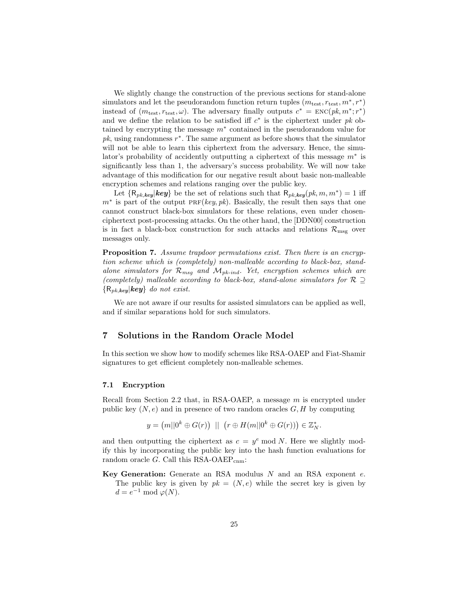We slightly change the construction of the previous sections for stand-alone simulators and let the pseudorandom function return tuples  $(m_{\text{test}}, r_{\text{test}}, m^*, r^*)$ instead of  $(m_{\text{test}}, r_{\text{test}}, \omega)$ . The adversary finally outputs  $c^* = \text{ENC}(pk, m^*; r^*)$ and we define the relation to be satisfied iff  $c^*$  is the ciphertext under  $pk$  obtained by encrypting the message  $m^*$  contained in the pseudorandom value for  $pk$ , using randomness  $r^*$ . The same argument as before shows that the simulator will not be able to learn this ciphertext from the adversary. Hence, the simulator's probability of accidently outputting a ciphertext of this message  $m^*$  is significantly less than 1, the adversary's success probability. We will now take advantage of this modification for our negative result about basic non-malleable encryption schemes and relations ranging over the public key.

Let  ${R}_{pk,key}(key)$  be the set of relations such that  $R_{pk,key}(pk, m, m^*) = 1$  iff  $m^*$  is part of the output PRF(key, pk). Basically, the result then says that one cannot construct black-box simulators for these relations, even under chosenciphertext post-processing attacks. On the other hand, the [DDN00] construction is in fact a black-box construction for such attacks and relations  $\mathcal{R}_{\text{msg}}$  over messages only.

Proposition 7. Assume trapdoor permutations exist. Then there is an encryption scheme which is (completely) non-malleable according to black-box, standalone simulators for  $\mathcal{R}_{msg}$  and  $\mathcal{M}_{pk-ind}$ . Yet, encryption schemes which are (completely) malleable according to black-box, stand-alone simulators for  $\mathcal{R} \supseteq$  ${R}_{pk,key}$ |**key**} do not exist.

We are not aware if our results for assisted simulators can be applied as well, and if similar separations hold for such simulators.

# 7 Solutions in the Random Oracle Model

In this section we show how to modify schemes like RSA-OAEP and Fiat-Shamir signatures to get efficient completely non-malleable schemes.

### 7.1 Encryption

Recall from Section 2.2 that, in RSA-OAEP, a message m is encrypted under public key  $(N, e)$  and in presence of two random oracles  $G, H$  by computing

$$
y = (m||0^k \oplus G(r)) || (r \oplus H(m||0^k \oplus G(r))) \in \mathbb{Z}_N^*.
$$

and then outputting the ciphertext as  $c = y^e \mod N$ . Here we slightly modify this by incorporating the public key into the hash function evaluations for random oracle G. Call this RSA-OAEP<sub>cnm</sub>:

Key Generation: Generate an RSA modulus N and an RSA exponent e. The public key is given by  $pk = (N, e)$  while the secret key is given by  $d = e^{-1} \bmod \varphi(N).$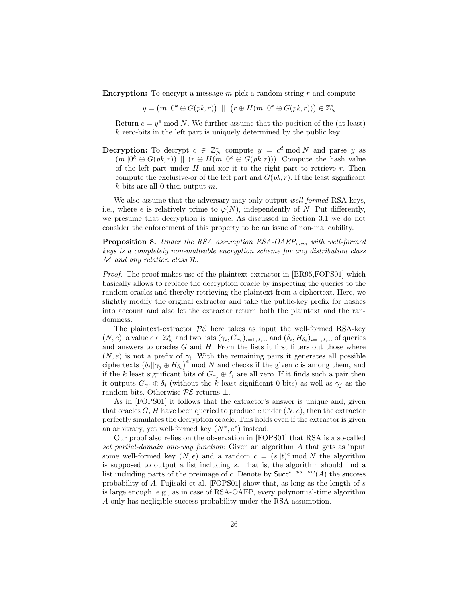**Encryption:** To encrypt a message  $m$  pick a random string  $r$  and compute

$$
y = (m||0^k \oplus G(pk, r)) || (r \oplus H(m||0^k \oplus G(pk, r))) \in \mathbb{Z}_N^*.
$$

Return  $c = y^e \mod N$ . We further assume that the position of the (at least) k zero-bits in the left part is uniquely determined by the public key.

**Decryption:** To decrypt  $c \in \mathbb{Z}_N^*$  compute  $y = c^d \mod N$  and parse y as  $(m||0^k \oplus G(pk,r))$  ||  $(r \oplus H(m||0^k \oplus G(pk,r)))$ . Compute the hash value of the left part under  $H$  and xor it to the right part to retrieve  $r$ . Then compute the exclusive-or of the left part and  $G(pk, r)$ . If the least significant k bits are all 0 then output  $m$ .

We also assume that the adversary may only output *well-formed* RSA keys, i.e., where e is relatively prime to  $\varphi(N)$ , independently of N. Put differently, we presume that decryption is unique. As discussed in Section 3.1 we do not consider the enforcement of this property to be an issue of non-malleability.

**Proposition 8.** Under the RSA assumption RSA-OAEP<sub>cnm</sub> with well-formed keys is a completely non-malleable encryption scheme for any distribution class M and any relation class R.

Proof. The proof makes use of the plaintext-extractor in [BR95,FOPS01] which basically allows to replace the decryption oracle by inspecting the queries to the random oracles and thereby retrieving the plaintext from a ciphertext. Here, we slightly modify the original extractor and take the public-key prefix for hashes into account and also let the extractor return both the plaintext and the randomness.

The plaintext-extractor  $\mathcal{P}\mathcal{E}$  here takes as input the well-formed RSA-key  $(N, e)$ , a value  $c \in \mathbb{Z}_N^*$  and two lists  $(\gamma_i, G_{\gamma_i})_{i=1,2,...}$  and  $(\delta_i, H_{\delta_i})_{i=1,2,...}$  of queries and answers to oracles  $G$  and  $H$ . From the lists it first filters out those where  $(N, e)$  is not a prefix of  $\gamma_i$ . With the remaining pairs it generates all possible ciphertexts  $(\delta_i||\gamma_j \oplus H_{\delta_i})^{\epsilon}$  mod N and checks if the given c is among them, and if the k least significant bits of  $G_{\gamma_j} \oplus \delta_i$  are all zero. If it finds such a pair then it outputs  $G_{\gamma_i} \oplus \delta_i$  (without the k least significant 0-bits) as well as  $\gamma_j$  as the random bits. Otherwise  $\mathcal{PE}$  returns  $\perp$ .

As in [FOPS01] it follows that the extractor's answer is unique and, given that oracles  $G, H$  have been queried to produce c under  $(N, e)$ , then the extractor perfectly simulates the decryption oracle. This holds even if the extractor is given an arbitrary, yet well-formed key  $(N^*, e^*)$  instead.

Our proof also relies on the observation in [FOPS01] that RSA is a so-called set partial-domain one-way function: Given an algorithm A that gets as input some well-formed key  $(N, e)$  and a random  $c = (s||t)^e \mod N$  the algorithm is supposed to output a list including s. That is, the algorithm should find a list including parts of the preimage of c. Denote by  $Succ^{s-pd-ow}(A)$  the success probability of A. Fujisaki et al. [FOPS01] show that, as long as the length of s is large enough, e.g., as in case of RSA-OAEP, every polynomial-time algorithm A only has negligible success probability under the RSA assumption.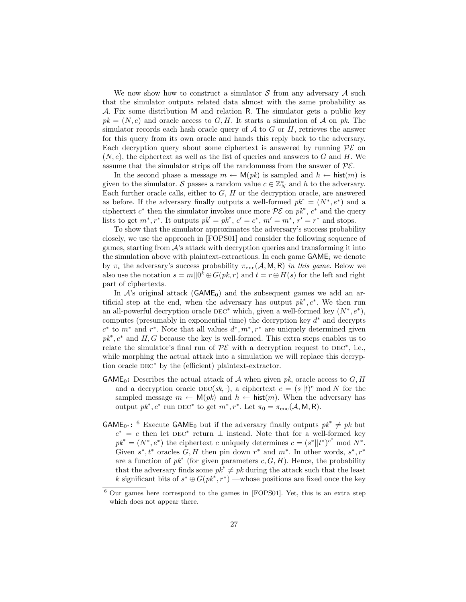We now show how to construct a simulator  $S$  from any adversary  $A$  such that the simulator outputs related data almost with the same probability as A. Fix some distribution M and relation R. The simulator gets a public key  $pk = (N, e)$  and oracle access to G, H. It starts a simulation of A on pk. The simulator records each hash oracle query of  $A$  to  $G$  or  $H$ , retrieves the answer for this query from its own oracle and hands this reply back to the adversary. Each decryption query about some ciphertext is answered by running  $\mathcal{PE}$  on  $(N, e)$ , the ciphertext as well as the list of queries and answers to G and H. We assume that the simulator strips off the randomness from the answer of  $\mathcal{P}\mathcal{E}$ .

In the second phase a message  $m \leftarrow M(pk)$  is sampled and  $h \leftarrow \text{hist}(m)$  is given to the simulator. S passes a random value  $c \in \mathbb{Z}_N^*$  and h to the adversary. Each further oracle calls, either to  $G, H$  or the decryption oracle, are answered as before. If the adversary finally outputs a well-formed  $pk^* = (N^*, e^*)$  and a ciphertext  $c^*$  then the simulator invokes once more  $\mathcal{PE}$  on  $pk^*$ ,  $c^*$  and the query lists to get  $m^*, r^*$ . It outputs  $pk' = pk^*, c' = c^*, m' = m^*, r' = r^*$  and stops.

To show that the simulator approximates the adversary's success probability closely, we use the approach in [FOPS01] and consider the following sequence of games, starting from  $\mathcal{A}$ 's attack with decryption queries and transforming it into the simulation above with plaintext-extractions. In each game  $GAME_i$  we denote by  $\pi_i$  the adversary's success probability  $\pi_{\text{enc}}(\mathcal{A}, \mathsf{M}, \mathsf{R})$  in this game. Below we also use the notation  $s = m||0^k \oplus G(pk, r)$  and  $t = r \oplus H(s)$  for the left and right part of ciphertexts.

In  $A$ 's original attack (GAME<sub>0</sub>) and the subsequent games we add an artificial step at the end, when the adversary has output  $pk^*, c^*$ . We then run an all-powerful decryption oracle DEC<sup>\*</sup> which, given a well-formed key  $(N^*, e^*)$ , computes (presumably in exponential time) the decryption key  $d^*$  and decrypts  $c^*$  to  $m^*$  and  $r^*$ . Note that all values  $d^*, m^*, r^*$  are uniquely determined given  $pk^*, c^*$  and  $H, G$  because the key is well-formed. This extra steps enables us to relate the simulator's final run of  $\mathcal{PE}$  with a decryption request to DEC<sup>\*</sup>, i.e., while morphing the actual attack into a simulation we will replace this decryption oracle DEC<sup>∗</sup> by the (efficient) plaintext-extractor.

- **GAME<sub>0</sub>:** Describes the actual attack of A when given pk, oracle access to  $G, H$ and a decryption oracle  $DEC(sk, \cdot)$ , a ciphertext  $c = (s||t)^e \mod N$  for the sampled message  $m \leftarrow M(pk)$  and  $h \leftarrow \text{hist}(m)$ . When the adversary has output  $pk^*, c^*$  run DEC<sup>\*</sup> to get  $m^*, r^*$ . Let  $\pi_0 = \pi_{enc}(A, M, R)$ .
- GAME<sub>0</sub><sup>\*</sup>: <sup>6</sup> Execute GAME<sub>0</sub> but if the adversary finally outputs  $pk^* \neq pk$  but  $c^* = c$  then let DEC<sup>\*</sup> return  $\perp$  instead. Note that for a well-formed key  $pk^* = (N^*, e^*)$  the ciphertext c uniquely determines  $c = (s^*||t^*)^{e^*} \mod N^*$ . Given  $s^*, t^*$  oracles  $G, H$  then pin down  $r^*$  and  $m^*$ . In other words,  $s^*, r^*$ are a function of  $pk^*$  (for given parameters  $c, G, H$ ). Hence, the probability that the adversary finds some  $pk^* \neq pk$  during the attack such that the least k significant bits of  $s^* \oplus G(pk^*, r^*)$  —whose positions are fixed once the key

<sup>6</sup> Our games here correspond to the games in [FOPS01]. Yet, this is an extra step which does not appear there.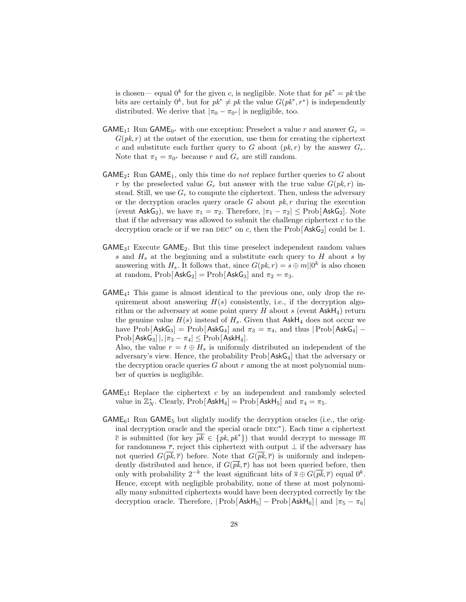is chosen— equal 0<sup>k</sup> for the given c, is negligible. Note that for  $pk^* = pk$  the bits are certainly  $0^k$ , but for  $pk^* \neq pk$  the value  $G(pk^*, r^*)$  is independently distributed. We derive that  $|\pi_0 - \pi_{0^*}|$  is negligible, too.

- **GAME<sub>1</sub>:** Run **GAME**<sub>0</sub><sup>\*</sup> with one exception: Preselect a value r and answer  $G_r =$  $G(pk, r)$  at the outset of the execution, use them for creating the ciphertext c and substitute each further query to G about  $(pk, r)$  by the answer  $G_r$ . Note that  $\pi_1 = \pi_{0^*}$  because r and  $G_r$  are still random.
- $GAME_2$ : Run  $GAME_1$ , only this time do *not* replace further queries to G about r by the preselected value  $G_r$  but answer with the true value  $G(pk, r)$  instead. Still, we use  $G_r$  to compute the ciphertext. Then, unless the adversary or the decryption oracles query oracle G about  $pk, r$  during the execution (event AskG<sub>2</sub>), we have  $\pi_1 = \pi_2$ . Therefore,  $|\pi_1 - \pi_2| \leq \text{Prob}[\text{AskG}_2]$ . Note that if the adversary was allowed to submit the challenge ciphertext  $c$  to the decryption oracle or if we ran DEC<sup>\*</sup> on c, then the Prob[AskG<sub>2</sub>] could be 1.
- $GAME_3$ : Execute  $GAME_2$ . But this time preselect independent random values s and  $H_s$  at the beginning and a substitute each query to  $H$  about s by answering with  $H_s$ . It follows that, since  $G(pk, r) = s \oplus m||0^k$  is also chosen at random,  $Prob[AskG_2] = Prob[AskG_3]$  and  $\pi_2 = \pi_3$ .
- GAME4: This game is almost identical to the previous one, only drop the requirement about answering  $H(s)$  consistently, i.e., if the decryption algorithm or the adversary at some point query H about s (event  $\mathsf{AskH}_4$ ) return the genuine value  $H(s)$  instead of  $H_s$ . Given that  $\mathsf{AskH}_4$  does not occur we have Prob[AskG<sub>3</sub>] = Prob[AskG<sub>4</sub>] and  $\pi_3 = \pi_4$ , and thus |Prob[AskG<sub>4</sub>] –  $\text{Prob}[\text{AskG}_3] |, |\pi_3 - \pi_4| \leq \text{Prob}[\text{AskH}_4].$ Also, the value  $r = t \oplus H_s$  is uniformly distributed an independent of the adversary's view. Hence, the probability Prob[AskG4] that the adversary or the decryption oracle queries  $G$  about  $r$  among the at most polynomial number of queries is negligible.
- $GAME_5$ : Replace the ciphertext c by an independent and randomly selected value in  $\mathbb{Z}_N^*$ . Clearly, Prob[AskH<sub>4</sub>] = Prob[AskH<sub>5</sub>] and  $\pi_4 = \pi_5$ .
- $GAME<sub>6</sub>$ : Run  $GAME<sub>5</sub>$  but slightly modify the decryption oracles (i.e., the original decryption oracle and the special oracle DEC<sup>∗</sup>). Each time a ciphertext  $\overline{c}$  is submitted (for key  $\overline{pk} \in \{pk, pk^*\}$ ) that would decrypt to message  $\overline{m}$ for randomness  $\bar{r}$ , reject this ciphertext with output  $\bot$  if the adversary has not queried  $G(\overline{pk}, \overline{r})$  before. Note that  $G(\overline{pk}, \overline{r})$  is uniformly and independently distributed and hence, if  $G(\overline{pk}, \overline{r})$  has not been queried before, then only with probability  $2^{-k}$  the least significant bits of  $\overline{s} \oplus G(\overline{pk}, \overline{r})$  equal  $0^k$ . Hence, except with negligible probability, none of these at most polynomially many submitted ciphertexts would have been decrypted correctly by the decryption oracle. Therefore,  $|Prob[AskH_5] - Prob[AskH_6]|$  and  $|\pi_5 - \pi_6|$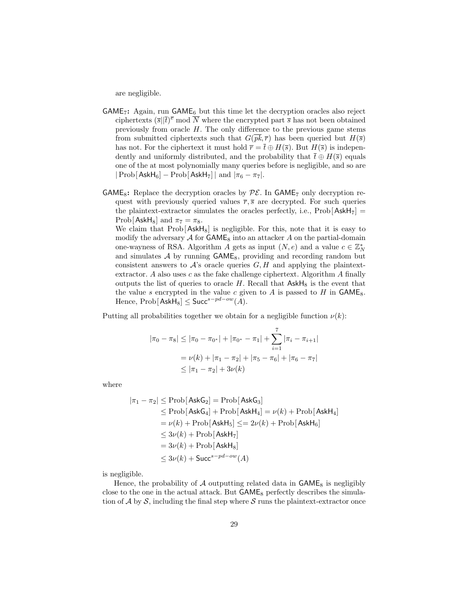are negligible.

- $GAME_7:$  Again, run  $GAME_6$  but this time let the decryption oracles also reject ciphertexts  $(\bar{s}||\bar{t})^{\bar{e}}$  mod  $\bar{N}$  where the encrypted part  $\bar{s}$  has not been obtained previously from oracle  $H$ . The only difference to the previous game stems from submitted ciphertexts such that  $G(\overline{pk}, \overline{r})$  has been queried but  $H(\overline{s})$ has not. For the ciphertext it must hold  $\bar{r} = \bar{t} \oplus H(\bar{s})$ . But  $H(\bar{s})$  is independently and uniformly distributed, and the probability that  $\bar{t} \oplus H(\bar{s})$  equals one of the at most polynomially many queries before is negligible, and so are  $|Prob[AskH_6] - Prob[AskH_7]|$  and  $|\pi_6 - \pi_7|$ .
- GAME<sub>8</sub>: Replace the decryption oracles by  $\mathcal{PE}$ . In GAME<sub>7</sub> only decryption request with previously queried values  $\bar{r}, \bar{s}$  are decrypted. For such queries the plaintext-extractor simulates the oracles perfectly, i.e.,  $Prob[AskH_7] =$ Prob[AskH<sub>8</sub>] and  $\pi_7 = \pi_8$ .

We claim that  $Prob[AskH_8]$  is negligible. For this, note that it is easy to modify the adversary  $\mathcal A$  for  $GAME_8$  into an attacker  $A$  on the partial-domain one-wayness of RSA. Algorithm A gets as input  $(N, e)$  and a value  $c \in \mathbb{Z}_N^*$ and simulates  $\mathcal A$  by running  $GAME_8$ , providing and recording random but consistent answers to  $A$ 's oracle queries  $G, H$  and applying the plaintextextractor. A also uses c as the fake challenge ciphertext. Algorithm A finally outputs the list of queries to oracle  $H$ . Recall that  $\mathsf{AskH}_8$  is the event that the value s encrypted in the value c given to  $A$  is passed to  $H$  in  $GAME_8$ . Hence, Prob[AskH<sub>8</sub>]  $\leq$  Succ<sup>s-pd-ow</sup>(A).

Putting all probabilities together we obtain for a negligible function  $\nu(k)$ :

$$
|\pi_0 - \pi_8| \le |\pi_0 - \pi_{0^*}| + |\pi_{0^*} - \pi_1| + \sum_{i=1}^7 |\pi_i - \pi_{i+1}|
$$
  
=  $\nu(k) + |\pi_1 - \pi_2| + |\pi_5 - \pi_6| + |\pi_6 - \pi_7|$   
 $\le |\pi_1 - \pi_2| + 3\nu(k)$ 

where

$$
|\pi_1 - \pi_2| \leq \text{Prob}[\text{AskG}_2] = \text{Prob}[\text{AskG}_3]
$$
  
\n
$$
\leq \text{Prob}[\text{AskG}_4] + \text{Prob}[\text{AskH}_4] = \nu(k) + \text{Prob}[\text{AskH}_4]
$$
  
\n
$$
= \nu(k) + \text{Prob}[\text{AskH}_5] \leq = 2\nu(k) + \text{Prob}[\text{AskH}_6]
$$
  
\n
$$
\leq 3\nu(k) + \text{Prob}[\text{AskH}_7]
$$
  
\n
$$
= 3\nu(k) + \text{Prob}[\text{AskH}_8]
$$
  
\n
$$
\leq 3\nu(k) + \text{Succ}^{s-pd-ow}(A)
$$

is negligible.

Hence, the probability of  $\mathcal A$  outputting related data in  $\mathsf{GAME}_8$  is negligibly close to the one in the actual attack. But  $GAME_8$  perfectly describes the simulation of  $\mathcal A$  by  $\mathcal S$ , including the final step where  $\mathcal S$  runs the plaintext-extractor once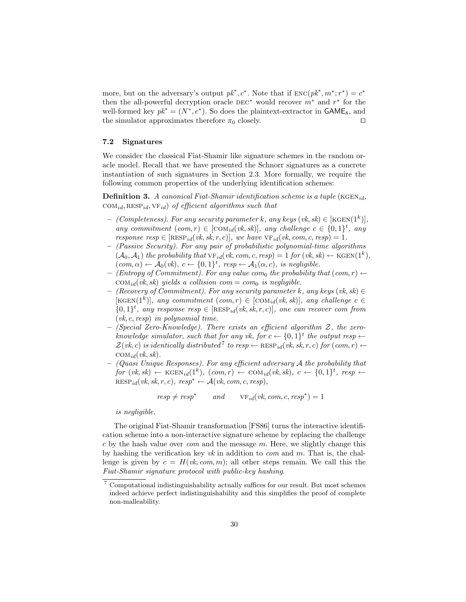more, but on the adversary's output  $pk^*, c^*$ . Note that if  $ENC(pk^*, m^*; r^*) = c^*$ then the all-powerful decryption oracle DEC<sup>\*</sup> would recover  $m^*$  and  $r^*$  for the well-formed key  $pk^* = (N^*, e^*)$ . So does the plaintext-extractor in  $\mathsf{GAME}_8$ , and the simulator approximates therefore  $\pi_0$  closely.

#### 7.2 Signatures

We consider the classical Fiat-Shamir like signature schemes in the random oracle model. Recall that we have presented the Schnorr signatures as a concrete instantiation of such signatures in Section 2.3. More formally, we require the following common properties of the underlying identification schemes:

**Definition 3.** A canonical Fiat-Shamir identification scheme is a tuple (KGEN<sub>id</sub>,  $COM_{id}, \text{RESP}_{id}, \text{VF}_{id}$  of efficient algorithms such that

- (Completeness). For any security parameter k, any keys  $(vk, sk) \in [KGEN(1<sup>k</sup>)],$ any commitment  $(com, r) \in [COM_{id}(vk, sk)],$  any challenge  $c \in \{0, 1\}^t$ , any response  $resp \in [resp_{id}(vk, sk, r, c)], we have \n $\nabla F_{id}(vk, com, c, resp) = 1.$$
- (Passive Security). For any pair of probabilistic polynomial-time algorithms  $(\mathcal{A}_0, \mathcal{A}_1)$  the probability that  $\text{VF}_{id}(vk, com, c, resp) = 1$  for  $(vk, sk) \leftarrow \text{KGEN}(1^k)$ ,  $(\textit{com}, \alpha) \leftarrow \mathcal{A}_0(\textit{vk}), \textit{c} \leftarrow \{0, 1\}^t, \textit{resp} \leftarrow \mathcal{A}_1(\alpha, c), \textit{is negligible.}$
- (Entropy of Commitment). For any value com<sub>0</sub> the probability that  $(com, r)$  ←  $COM_{id}(vk, sk)$  yields a collision com = com<sub>0</sub> is negligible.
- (Recovery of Commitment). For any security parameter k, any keys (vk, sk) ∈ [KGEN( $1^k$ ], any commitment  $(com, r) \in [COM_{id}(vk, sk)],$  any challenge  $c \in$  ${0,1}^t$ , any response resp  $\in$  [RESP<sub>id</sub>(vk, sk, r, c)], one can recover com from  $(vk, c, resp)$  in polynomial time.
- $-$  (Special Zero-Knowledge). There exists an efficient algorithm  $\mathcal{Z}$ , the zeroknowledge simulator, such that for any vk, for  $c \leftarrow \{0,1\}^t$  the output resp  $\leftarrow$  $\mathcal{Z}(vk, c)$  is identically distributed<sup>7</sup> to resp  $\leftarrow \text{RESP}_{id}(vk, sk, r, c)$  for  $(com, r) \leftarrow$  $COM_{id}(vk, sk)$ .
- $-$  (Quasi Unique Responses). For any efficient adversary  $A$  the probability that  $for (vk, sk) \leftarrow \text{KGEN}_{id}(1^k), (com, r) \leftarrow \text{COM}_{id}(vk, sk), c \leftarrow \{0, 1\}^t, resp \leftarrow$  $\text{RESP}_{id}(vk, sk, r, c), \; resp^* \leftarrow \mathcal{A}(vk, com, c, resp),$

$$
resp \neq resp^* \qquad and \qquad \mathrm{VF}_{id}(vk, com, c, resp^*) = 1
$$

#### is negligible.

The original Fiat-Shamir transformation [FS86] turns the interactive identification scheme into a non-interactive signature scheme by replacing the challenge  $c$  by the hash value over  $com$  and the message  $m$ . Here, we slightly change this by hashing the verification key  $vk$  in addition to *com* and m. That is, the challenge is given by  $c = H(wk, com, m)$ ; all other steps remain. We call this the Fiat-Shamir signature protocol with public-key hashing.

<sup>7</sup> Computational indistinguishability actually suffices for our result. But most schemes indeed achieve perfect indistinguishability and this simplifies the proof of complete non-malleability.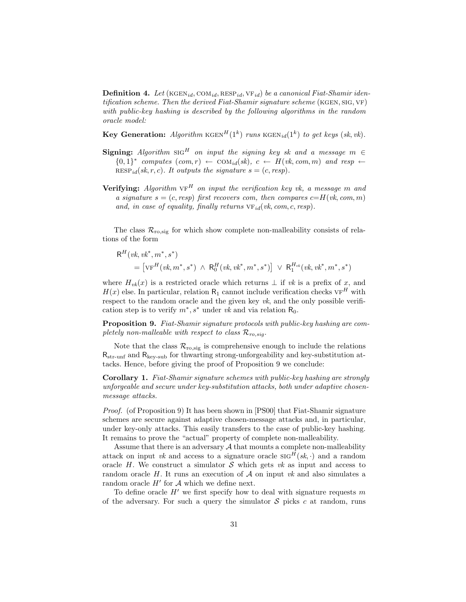**Definition 4.** Let (KGEN<sub>id</sub>, COM<sub>id</sub>, RESP<sub>id</sub>, VF<sub>id</sub>) be a canonical Fiat-Shamir identification scheme. Then the derived Fiat-Shamir signature scheme  $(KGEN, SIG, VF)$ with public-key hashing is described by the following algorithms in the random oracle model:

**Key Generation:** Algorithm  $\text{KGEN}^H(1^k)$  runs  $\text{KGEN}_{id}(1^k)$  to get keys (sk, vk).

- Signing: Algorithm  $\text{SIG}^H$  on input the signing key sk and a message  $m \in$  ${0,1}^*$  computes  $(com, r) \leftarrow \text{COM}_{id}(sk), c \leftarrow H(vk, com, m)$  and resp  $\leftarrow$ RESP<sub>id</sub>(sk, r, c). It outputs the signature  $s = (c, resp)$ .
- **Verifying:** Algorithm  $VF<sup>H</sup>$  on input the verification key vk, a message m and a signature  $s = (c, resp)$  first recovers com, then compares  $c=H(vk, com, m)$ and, in case of equality, finally returns  $VF_{id}(vk, com, c, resp)$ .

The class  $\mathcal{R}_{\rm ro,sig}$  for which show complete non-malleability consists of relations of the form

$$
R^H(vk, vk^*,m^*,s^*)
$$
  
= 
$$
[VF^H(vk,m^*,s^*) \wedge R_0^H(vk,vk^*,m^*,s^*)] \vee R_1^{H_{vk}}(vk,vk^*,m^*,s^*)
$$

where  $H_{vk}(x)$  is a restricted oracle which returns  $\perp$  if vk is a prefix of x, and  $H(x)$  else. In particular, relation  $R_1$  cannot include verification checks  $VF<sup>H</sup>$  with respect to the random oracle and the given key vk, and the only possible verification step is to verify  $m^*$ , s<sup>\*</sup> under vk and via relation  $R_0$ .

Proposition 9. Fiat-Shamir signature protocols with public-key hashing are completely non-malleable with respect to class  $\mathcal{R}_{ro,siq}$ .

Note that the class  $\mathcal{R}_{\text{ro,sig}}$  is comprehensive enough to include the relations  $R_{str-unf}$  and  $R_{key-sub}$  for thwarting strong-unforgeability and key-substitution attacks. Hence, before giving the proof of Proposition 9 we conclude:

Corollary 1. Fiat-Shamir signature schemes with public-key hashing are strongly unforgeable and secure under key-substitution attacks, both under adaptive chosenmessage attacks.

Proof. (of Proposition 9) It has been shown in [PS00] that Fiat-Shamir signature schemes are secure against adaptive chosen-message attacks and, in particular, under key-only attacks. This easily transfers to the case of public-key hashing. It remains to prove the "actual" property of complete non-malleability.

Assume that there is an adversary  $A$  that mounts a complete non-malleability attack on input vk and access to a signature oracle  $\text{sig}^{\hat{H}}(sk, \cdot)$  and a random oracle H. We construct a simulator  $S$  which gets vk as input and access to random oracle H. It runs an execution of  $A$  on input vk and also simulates a random oracle  $H'$  for  $A$  which we define next.

To define oracle  $H'$  we first specify how to deal with signature requests m of the adversary. For such a query the simulator  $S$  picks c at random, runs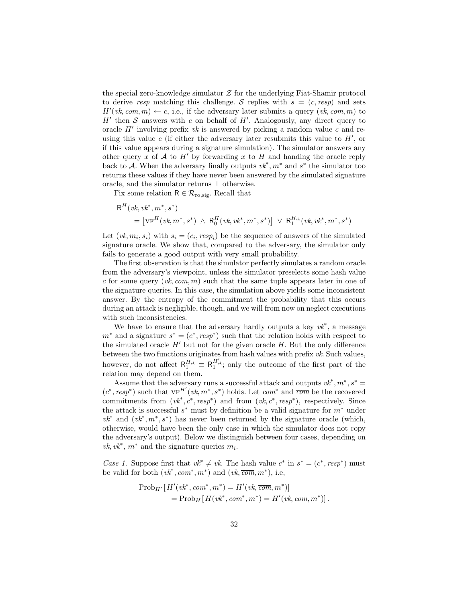the special zero-knowledge simulator  $\mathcal Z$  for the underlying Fiat-Shamir protocol to derive resp matching this challenge. S replies with  $s = (c, resp)$  and sets  $H'(vk, com, m) \leftarrow c$ , i.e., if the adversary later submits a query  $(vk, com, m)$  to  $H'$  then S answers with c on behalf of  $H'$ . Analogously, any direct query to oracle  $H'$  involving prefix  $vk$  is answered by picking a random value  $c$  and reusing this value  $c$  (if either the adversary later resubmits this value to  $H'$ , or if this value appears during a signature simulation). The simulator answers any other query x of  $A$  to  $H'$  by forwarding x to H and handing the oracle reply back to A. When the adversary finally outputs  $vk^*, m^*$  and  $s^*$  the simulator too returns these values if they have never been answered by the simulated signature oracle, and the simulator returns ⊥ otherwise.

Fix some relation  $R \in \mathcal{R}_{\text{ro,sig}}$ . Recall that

$$
\begin{aligned} \mathsf{R}^{H}(vk,vk^{*},m^{*},s^{*}) \\ & = \left[\mathsf{v}\mathsf{F}^{H}(vk,m^{*},s^{*})~\wedge~\mathsf{R}_{0}^{H}(vk,vk^{*},m^{*},s^{*})\right]~\vee~\mathsf{R}_{1}^{H_{vk}}(vk,vk^{*},m^{*},s^{*}) \end{aligned}
$$

Let  $(vk, m_i, s_i)$  with  $s_i = (c_i, resp_i)$  be the sequence of answers of the simulated signature oracle. We show that, compared to the adversary, the simulator only fails to generate a good output with very small probability.

The first observation is that the simulator perfectly simulates a random oracle from the adversary's viewpoint, unless the simulator preselects some hash value c for some query  $(vk, com, m)$  such that the same tuple appears later in one of the signature queries. In this case, the simulation above yields some inconsistent answer. By the entropy of the commitment the probability that this occurs during an attack is negligible, though, and we will from now on neglect executions with such inconsistencies.

We have to ensure that the adversary hardly outputs a key  $vk^*$ , a message  $m^*$  and a signature  $s^* = (c^*, resp^*)$  such that the relation holds with respect to the simulated oracle  $H'$  but not for the given oracle  $H$ . But the only difference between the two functions originates from hash values with prefix  $vk$ . Such values, however, do not affect  $R_1^{H_{vk}} \equiv R_1^{H'_{vk}}$ ; only the outcome of the first part of the relation may depend on them.

Assume that the adversary runs a successful attack and outputs  $vk^*, m^*, s^* =$  $(c^*, resp^*)$  such that  $\text{VF}^{H'}(vk, m^*, s^*)$  holds. Let  $com^*$  and  $\overline{com}$  be the recovered commitments from  $(vk^*, c^*, resp^*)$  and from  $(vk, c^*, resp^*)$ , respectively. Since the attack is successful  $s^*$  must by definition be a valid signature for  $m^*$  under  $vk^*$  and  $(vk^*, m^*, s^*)$  has never been returned by the signature oracle (which, otherwise, would have been the only case in which the simulator does not copy the adversary's output). Below we distinguish between four cases, depending on  $vk, vk^*, m^*$  and the signature queries  $m_i$ .

Case 1. Suppose first that  $vk^* \neq vk$ . The hash value  $c^*$  in  $s^* = (c^*, resp^*)$  must be valid for both  $(vk^*, com^*, m^*)$  and  $(vk, \overline{com}, m^*)$ , i.e,

$$
\begin{aligned} \text{Prob}_{H'} \left[ H'(vk^*, com^*, m^*) = H'(vk, \overline{com}, m^*) \right] \\ &= \text{Prob}_{H} \left[ H(vk^*, com^*, m^*) = H'(vk, \overline{com}, m^*) \right]. \end{aligned}
$$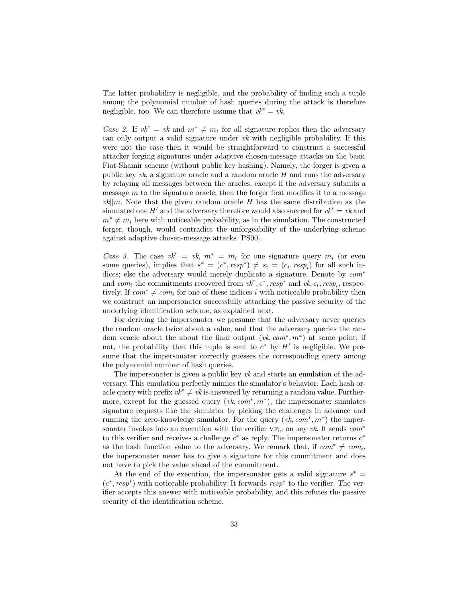The latter probability is negligible, and the probability of finding such a tuple among the polynomial number of hash queries during the attack is therefore negligible, too. We can therefore assume that  $vk^* = vk$ .

Case 2. If  $vk^* = vk$  and  $m^* \neq m_i$  for all signature replies then the adversary can only output a valid signature under  $vk$  with negligible probability. If this were not the case then it would be straightforward to construct a successful attacker forging signatures under adaptive chosen-message attacks on the basic Fiat-Shamir scheme (without public key hashing). Namely, the forger is given a public key  $vk$ , a signature oracle and a random oracle  $H$  and runs the adversary by relaying all messages between the oracles, except if the adversary submits a message  $m$  to the signature oracle; then the forger first modifies it to a message  $vk||m$ . Note that the given random oracle H has the same distribution as the simulated one H' and the adversary therefore would also succeed for  $vk^* = vk$  and  $m^* \neq m_i$  here with noticeable probability, as in the simulation. The constructed forger, though, would contradict the unforgeability of the underlying scheme against adaptive chosen-message attacks [PS00].

Case 3. The case  $vk^* = vk, m^* = m_i$  for one signature query  $m_i$  (or even some queries), implies that  $s^* = (c^*, resp^*) \neq s_i = (c_i, resp_i)$  for all such indices; else the adversary would merely duplicate a signature. Denote by com<sup>∗</sup> and  $com_i$  the commitments recovered from  $vk^*, c^*, resp^*$  and  $vk, c_i, resp_i$ , respectively. If  $com^* \neq com_i$  for one of these indices i with noticeable probability then we construct an impersonater successfully attacking the passive security of the underlying identification scheme, as explained next.

For deriving the impersonater we presume that the adversary never queries the random oracle twice about a value, and that the adversary queries the random oracle about the about the final output  $(vk, com^*, m^*)$  at some point; if not, the probability that this tuple is sent to  $c^*$  by  $H'$  is negligible. We presume that the impersonater correctly guesses the corresponding query among the polynomial number of hash queries.

The impersonater is given a public key  $vk$  and starts an emulation of the adversary. This emulation perfectly mimics the simulator's behavior. Each hash oracle query with prefix  $vk^* \neq vk$  is answered by returning a random value. Furthermore, except for the guessed query  $(vk, com^*, m^*)$ , the impersonater simulates signature requests like the simulator by picking the challenges in advance and running the zero-knowledge simulator. For the query  $(vk, com^*, m^*)$  the impersonater invokes into an execution with the verifier  $VF_{id}$  on key vk. It sends  $com^*$ to this verifier and receives a challenge  $c^*$  as reply. The impersonater returns  $c^*$ as the hash function value to the adversary. We remark that, if  $com^* \neq com_i$ , the impersonater never has to give a signature for this commitment and does not have to pick the value ahead of the commitment.

At the end of the execution, the impersonater gets a valid signature  $s^*$  =  $(c^*, resp^*)$  with noticeable probability. It forwards  $resp^*$  to the verifier. The verifier accepts this answer with noticeable probability, and this refutes the passive security of the identification scheme.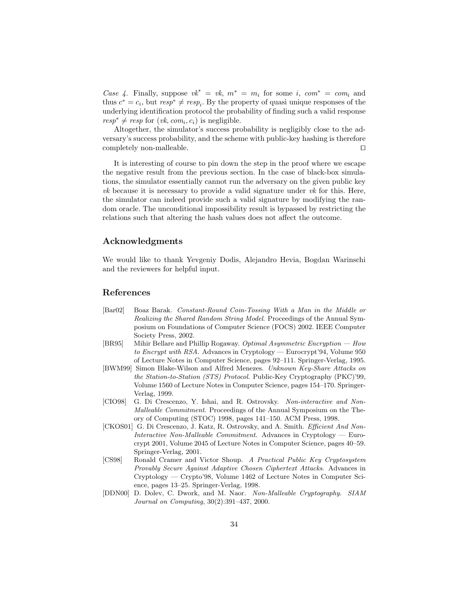Case 4. Finally, suppose  $vk^* = vk, m^* = m_i$  for some i,  $com^* = com_i$  and thus  $c^* = c_i$ , but  $resp^* \neq resp_i$ . By the property of quasi unique responses of the underlying identification protocol the probability of finding such a valid response  $resp^* \neq resp$  for  $(vk, com_i, c_i)$  is negligible.

Altogether, the simulator's success probability is negligibly close to the adversary's success probability, and the scheme with public-key hashing is therefore completely non-malleable.  $\Box$ 

It is interesting of course to pin down the step in the proof where we escape the negative result from the previous section. In the case of black-box simulations, the simulator essentially cannot run the adversary on the given public key  $vk$  because it is necessary to provide a valid signature under  $vk$  for this. Here, the simulator can indeed provide such a valid signature by modifying the random oracle. The unconditional impossibility result is bypassed by restricting the relations such that altering the hash values does not affect the outcome.

# Acknowledgments

We would like to thank Yevgeniy Dodis, Alejandro Hevia, Bogdan Warinschi and the reviewers for helpful input.

# References

- [Bar02] Boaz Barak. Constant-Round Coin-Tossing With a Man in the Middle or Realizing the Shared Random String Model. Proceedings of the Annual Symposium on Foundations of Computer Science (FOCS) 2002. IEEE Computer Society Press, 2002.
- [BR95] Mihir Bellare and Phillip Rogaway. Optimal Asymmetric Encryption How to Encrypt with RSA. Advances in Cryptology — Eurocrypt'94, Volume 950 of Lecture Notes in Computer Science, pages 92–111. Springer-Verlag, 1995.
- [BWM99] Simon Blake-Wilson and Alfred Menezes. Unknown Key-Share Attacks on the Station-to-Station (STS) Protocol. Public-Key Cryptography (PKC)'99, Volume 1560 of Lecture Notes in Computer Science, pages 154–170. Springer-Verlag, 1999.
- [CIO98] G. Di Crescenzo, Y. Ishai, and R. Ostrovsky. Non-interactive and Non-Malleable Commitment. Proceedings of the Annual Symposium on the Theory of Computing (STOC) 1998, pages 141–150. ACM Press, 1998.
- [CKOS01] G. Di Crescenzo, J. Katz, R. Ostrovsky, and A. Smith. *Efficient And Non-*Interactive Non-Malleable Commitment. Advances in Cryptology — Eurocrypt 2001, Volume 2045 of Lecture Notes in Computer Science, pages 40–59. Springer-Verlag, 2001.
- [CS98] Ronald Cramer and Victor Shoup. A Practical Public Key Cryptosystem Provably Secure Against Adaptive Chosen Ciphertext Attacks. Advances in Cryptology — Crypto'98, Volume 1462 of Lecture Notes in Computer Science, pages 13–25. Springer-Verlag, 1998.
- [DDN00] D. Dolev, C. Dwork, and M. Naor. Non-Malleable Cryptography. SIAM Journal on Computing, 30(2):391–437, 2000.